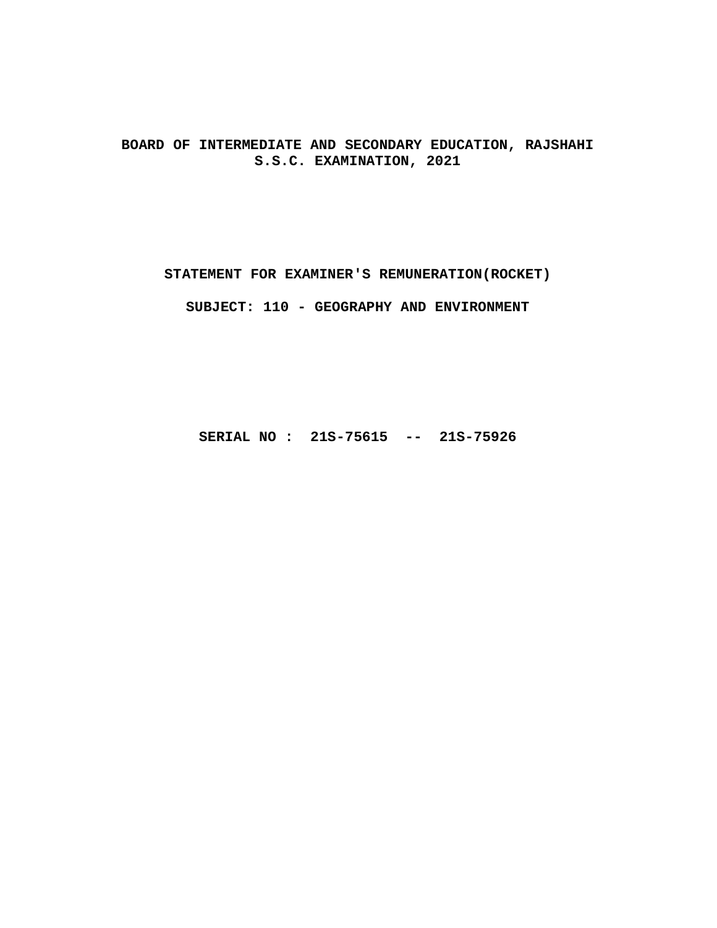**BOARD OF INTERMEDIATE AND SECONDARY EDUCATION, RAJSHAHI S.S.C. EXAMINATION, 2021**

**STATEMENT FOR EXAMINER'S REMUNERATION(ROCKET)**

**SUBJECT: 110 - GEOGRAPHY AND ENVIRONMENT**

**SERIAL NO : 21S-75615 -- 21S-75926**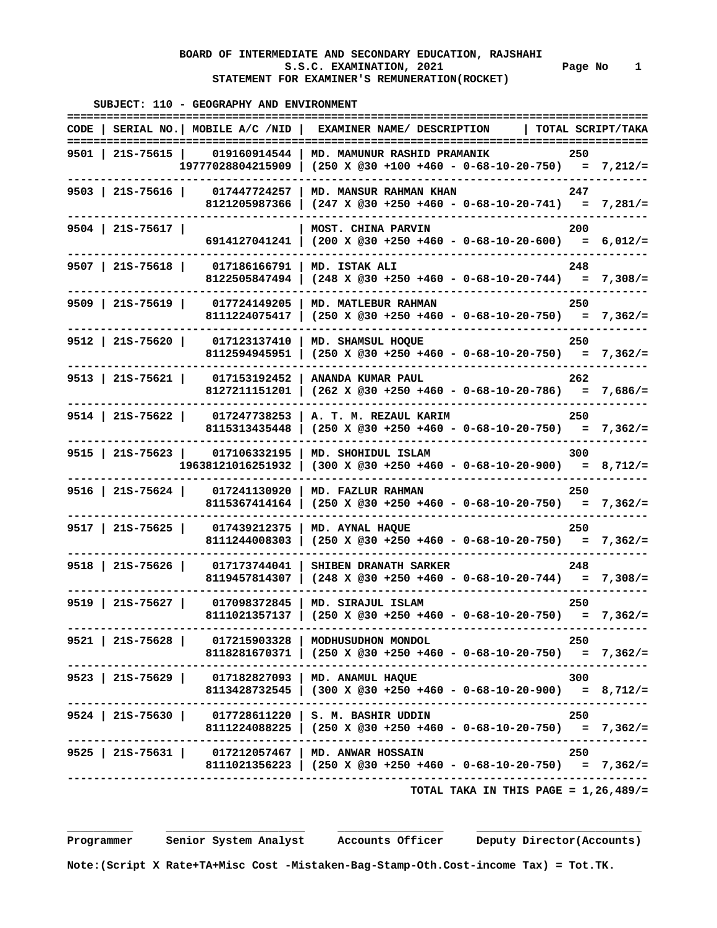#### **BOARD OF INTERMEDIATE AND SECONDARY EDUCATION, RAJSHAHI**  S.S.C. EXAMINATION, 2021 Page No 1  **STATEMENT FOR EXAMINER'S REMUNERATION(ROCKET)**

 **SUBJECT: 110 - GEOGRAPHY AND ENVIRONMENT ======================================================================================== CODE | SERIAL NO.| MOBILE A/C /NID | EXAMINER NAME/ DESCRIPTION | TOTAL SCRIPT/TAKA ======================================================================================== 9501 | 21S-75615 | 019160914544 | MD. MAMUNUR RASHID PRAMANIK 250 19777028804215909 | (250 X @30 +100 +460 - 0-68-10-20-750) = 7,212/= ---------------------------------------------------------------------------------------- 9503 | 21S-75616 | 017447724257 | MD. MANSUR RAHMAN KHAN 247 8121205987366 | (247 X @30 +250 +460 - 0-68-10-20-741) = 7,281/= ---------------------------------------------------------------------------------------- 9504 | 21S-75617 | | MOST. CHINA PARVIN 200 6914127041241 | (200 X @30 +250 +460 - 0-68-10-20-600) = 6,012/= ---------------------------------------------------------------------------------------- 9507 | 21S-75618 | 017186166791 | MD. ISTAK ALI 248 8122505847494 | (248 X @30 +250 +460 - 0-68-10-20-744) = 7,308/= ---------------------------------------------------------------------------------------- 9509 | 21S-75619 | 017724149205 | MD. MATLEBUR RAHMAN 250 8111224075417 | (250 X @30 +250 +460 - 0-68-10-20-750) = 7,362/= ---------------------------------------------------------------------------------------- 9512 | 21S-75620 | 017123137410 | MD. SHAMSUL HOQUE 250 8112594945951 | (250 X @30 +250 +460 - 0-68-10-20-750) = 7,362/= ---------------------------------------------------------------------------------------- 9513 | 21S-75621 | 017153192452 | ANANDA KUMAR PAUL 262 8127211151201 | (262 X @30 +250 +460 - 0-68-10-20-786) = 7,686/= ---------------------------------------------------------------------------------------- 9514 | 21S-75622 | 017247738253 | A. T. M. REZAUL KARIM 250 8115313435448 | (250 X @30 +250 +460 - 0-68-10-20-750) = 7,362/= ---------------------------------------------------------------------------------------- 9515 | 21S-75623 | 017106332195 | MD. SHOHIDUL ISLAM 300** 

|                    | 19638121016251932             |                                                                                        |     |  |
|--------------------|-------------------------------|----------------------------------------------------------------------------------------|-----|--|
| $9516$   21S-75624 | 017241130920<br>8115367414164 | MD. FAZLUR RAHMAN<br>$(250 \t X \t @30 +250 +460 - 0-68-10-20-750) = 7,362/=$          | 250 |  |
| $9517$   21S-75625 | 017439212375<br>8111244008303 | MD. AYNAL HAOUE                                                                        | 250 |  |
| $9518$   215-75626 | 017173744041<br>8119457814307 | SHIBEN DRANATH SARKER                                                                  | 248 |  |
| $9519$   21S-75627 | 017098372845<br>8111021357137 | MD. SIRAJUL ISLAM                                                                      | 250 |  |
| $9521$   215-75628 | 017215903328<br>8118281670371 | MODHUSUDHON MONDOL                                                                     | 250 |  |
| $9523$   215-75629 | 017182827093<br>8113428732545 | MD. ANAMUL HAQUE<br>$(300 \t X \t 030 + 250 + 460 - 0 - 68 - 10 - 20 - 900) = 8,712/=$ | 300 |  |
| $9524$   215-75630 | 017728611220<br>8111224088225 | S. M. BASHIR UDDIN<br>$(250 \t X \t @30 +250 +460 - 0-68-10-20-750) = 7,362/=$         | 250 |  |
| $9525$   21S-75631 | 017212057467<br>8111021356223 | MD. ANWAR HOSSAIN                                                                      | 250 |  |

 **TOTAL TAKA IN THIS PAGE = 1,26,489/=**

 **\_\_\_\_\_\_\_\_\_\_ \_\_\_\_\_\_\_\_\_\_\_\_\_\_\_\_\_\_\_\_\_ \_\_\_\_\_\_\_\_\_\_\_\_\_\_\_\_ \_\_\_\_\_\_\_\_\_\_\_\_\_\_\_\_\_\_\_\_\_\_\_\_\_**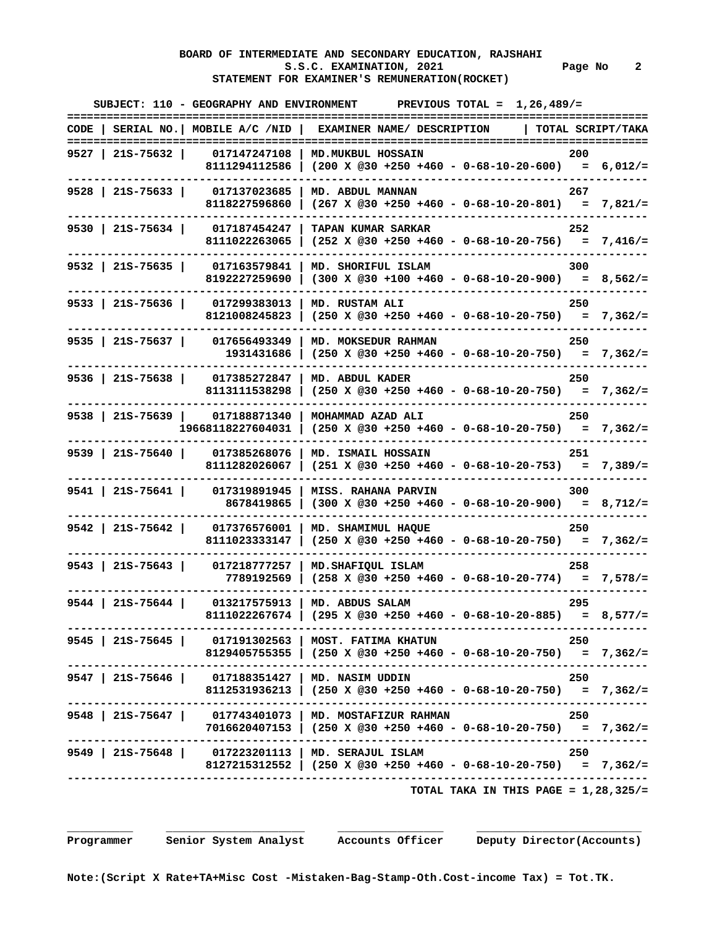# **BOARD OF INTERMEDIATE AND SECONDARY EDUCATION, RAJSHAHI**  S.S.C. EXAMINATION, 2021 **Page No** 2  **STATEMENT FOR EXAMINER'S REMUNERATION(ROCKET)**

|                     | SUBJECT: 110 - GEOGRAPHY AND ENVIRONMENT                                      | PREVIOUS TOTAL = $1,26,489/$ =<br>==============================                                     | ============ |
|---------------------|-------------------------------------------------------------------------------|------------------------------------------------------------------------------------------------------|--------------|
|                     | $CODE$   SERIAL NO.   MOBILE A/C /NID  <br>================================== | EXAMINER NAME/ DESCRIPTION<br>  TOTAL SCRIPT/TAKA                                                    |              |
| 9527   21S-75632    | 017147247108                                                                  | MD. MUKBUL HOSSAIN<br>200                                                                            |              |
|                     |                                                                               | 8111294112586   (200 X @30 +250 +460 - 0-68-10-20-600) = 6,012/=                                     |              |
| $9528$   215-75633  | 017137023685                                                                  | MD. ABDUL MANNAN<br>267                                                                              |              |
|                     | 8118227596860                                                                 | $(267 \t X \t @30 +250 +460 - 0-68-10-20-801) = 7,821/=$                                             |              |
| 9530   21S-75634    | 017187454247                                                                  | <b>TAPAN KUMAR SARKAR</b><br>252                                                                     |              |
|                     | 8111022263065                                                                 | $(252 \t X \t 230 + 250 + 460 - 0 - 68 - 10 - 20 - 756) = 7,416/=$                                   |              |
| $9532$   215-75635  | 017163579841                                                                  | MD. SHORIFUL ISLAM<br>300                                                                            |              |
|                     | 8192227259690                                                                 | $(300 \t X \t 230 + 100 + 460 - 0 - 68 - 10 - 20 - 900) = 8,562/=$                                   |              |
| 9533   21S-75636    | 017299383013                                                                  | MD. RUSTAM ALI<br>250                                                                                |              |
|                     | 8121008245823                                                                 | $(250 \t X \t @30 +250 +460 - 0-68-10-20-750) = 7,362/=$                                             |              |
|                     | 9535   21s-75637   017656493349                                               | MD. MOKSEDUR RAHMAN<br>250                                                                           |              |
|                     | 1931431686                                                                    | $(250 \times @30 +250 +460 - 0-68-10-20-750) = 7,362/=$                                              |              |
|                     | 9536   21S-75638   017385272847                                               | MD. ABDUL KADER<br>250                                                                               |              |
|                     | 8113111538298                                                                 | $(250 \t X \t @30 +250 +460 - 0-68-10-20-750) = 7,362/=$                                             |              |
|                     | 9538 215-75639 017188871340                                                   | MOHAMMAD AZAD ALI<br>250                                                                             |              |
|                     | 19668118227604031                                                             | $(250 \t X \t @30 +250 +460 - 0-68-10-20-750) = 7,362/=$                                             |              |
|                     | 9539 215-75640 017385268076                                                   | MD. ISMAIL HOSSAIN<br>251                                                                            |              |
|                     | 8111282026067                                                                 | $(251 \t X \t @30 +250 +460 - 0-68-10-20-753) = 7,389/=$                                             |              |
| $9541$   21S-75641  | 017319891945                                                                  | <b>MISS. RAHANA PARVIN</b><br>300                                                                    |              |
|                     | 8678419865                                                                    | $(300 \t X \t 230 +250 +460 - 0 -68 -10 -20 -900) = 8,712/=$                                         |              |
| 9542   215-75642    | 017376576001                                                                  | MD. SHAMIMUL HAQUE<br>250                                                                            |              |
|                     | 8111023333147                                                                 | $(250 \t X \t @30 +250 +460 - 0-68-10-20-750) = 7,362/=$                                             |              |
| $9543$   215-75643  | 017218777257                                                                  | MD. SHAFIQUL ISLAM<br>258                                                                            |              |
|                     | 7789192569                                                                    |                                                                                                      |              |
| $9544$   21S-75644  | 013217575913                                                                  | MD. ABDUS SALAM<br>295                                                                               |              |
|                     | 8111022267674                                                                 | $(295 \times @30 +250 +460 - 0-68-10-20-885) = 8,577/=$                                              |              |
|                     |                                                                               | .---------------------------------<br>9545   21S-75645   017191302563   MOST. FATIMA KHATUN<br>- 250 |              |
|                     |                                                                               | 8129405755355   (250 X @30 +250 +460 - 0-68-10-20-750) = 7,362/=                                     |              |
|                     |                                                                               | 9547   21S-75646   017188351427   MD. NASIM UDDIN<br>250                                             |              |
|                     |                                                                               | 8112531936213   (250 X @30 +250 +460 - 0-68-10-20-750) = 7,362/=                                     |              |
|                     |                                                                               | 9548   21S-75647   017743401073   MD. MOSTAFIZUR RAHMAN<br>250                                       |              |
| ------------------- |                                                                               | 7016620407153   (250 X @30 +250 +460 - 0-68-10-20-750) = 7,362/=                                     |              |
|                     |                                                                               | 9549   21S-75648   017223201113   MD. SERAJUL ISLAM<br>250                                           |              |
|                     |                                                                               | 8127215312552   (250 X @30 +250 +460 - 0-68-10-20-750) = 7,362/=                                     |              |
|                     |                                                                               | TOTAL TAKA IN THIS PAGE = $1,28,325/$ =                                                              |              |

 **Programmer Senior System Analyst Accounts Officer Deputy Director(Accounts)**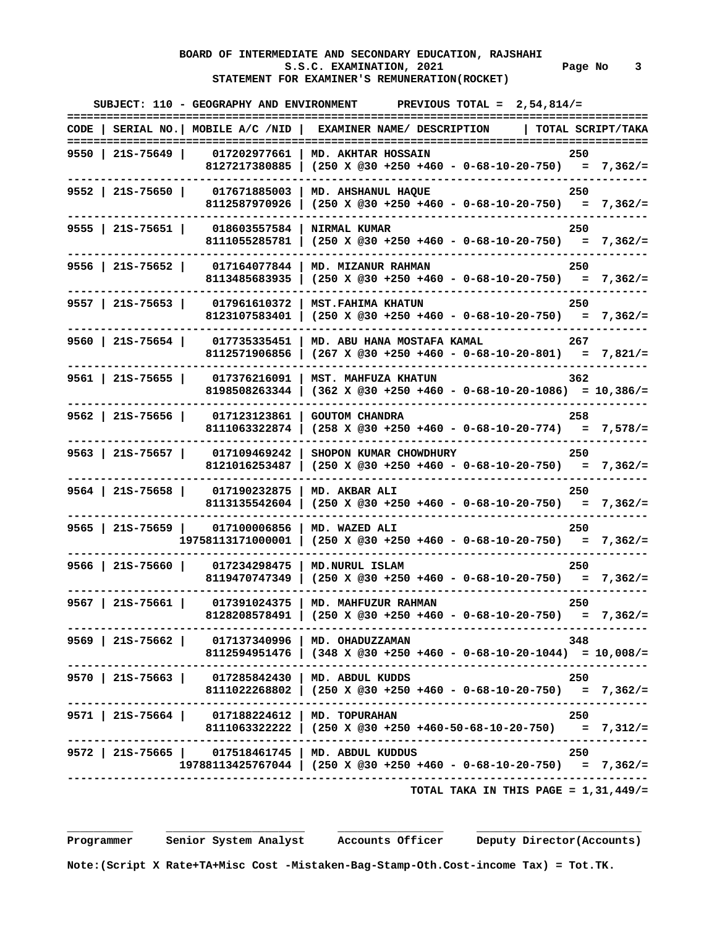# **BOARD OF INTERMEDIATE AND SECONDARY EDUCATION, RAJSHAHI**  S.S.C. EXAMINATION, 2021 **Page No** 3  **STATEMENT FOR EXAMINER'S REMUNERATION(ROCKET)**

|                    |                                                   | SUBJECT: 110 - GEOGRAPHY AND ENVIRONMENT PREVIOUS TOTAL = $2,54,814/$ =<br>===========                                              | ========= |
|--------------------|---------------------------------------------------|-------------------------------------------------------------------------------------------------------------------------------------|-----------|
|                    |                                                   | CODE   SERIAL NO.   MOBILE A/C /NID   EXAMINER NAME/ DESCRIPTION<br>  TOTAL SCRIPT/TAKA                                             |           |
| 9550   215-75649   | 017202977661                                      | MD. AKHTAR HOSSAIN<br>250<br>8127217380885   (250 X @30 +250 +460 - 0-68-10-20-750) = 7,362/=                                       |           |
| 9552   21S-75650   | 017671885003<br>8112587970926                     | MD. AHSHANUL HAQUE<br>250<br>$(250 \t X \t @30 +250 +460 - 0-68-10-20-750) = 7,362/=$                                               |           |
| 9555   21s-75651   | 018603557584   NIRMAL KUMAR                       | 250<br>8111055285781   $(250 \times @30 +250 +460 - 0-68-10-20-750) = 7,362/=$                                                      |           |
| $9556$   215-75652 | 017164077844                                      | MD. MIZANUR RAHMAN<br>250<br>8113485683935 (250 x @30 +250 +460 - 0-68-10-20-750) = 7,362/=                                         |           |
| 9557   21S-75653   | 017961610372  <br>8123107583401                   | 250<br><b>MST.FAHIMA KHATUN</b><br>$(250 \t X \t 230 + 250 + 460 - 0 - 68 - 10 - 20 - 750) = 7,362/=$                               |           |
| $9560$   21S-75654 | 017735335451<br>8112571906856                     | 267<br>MD. ABU HANA MOSTAFA KAMAL<br>$(267 \t X \t @30 +250 +460 - 0-68-10-20-801) = 7,821/=$                                       |           |
| $9561$   21S-75655 | 017376216091<br>8198508263344                     | MST. MAHFUZA KHATUN<br>362<br>$(362 \times @30 +250 +460 - 0-68-10-20-1086) = 10,386/=$                                             |           |
| $9562$   21S-75656 | 017123123861<br>8111063322874                     | <b>GOUTOM CHANDRA</b><br>258<br>$(258 \t X \t @30 +250 +460 - 0-68-10-20-774) = 7,578/=$                                            |           |
| $9563$   21S-75657 | 017109469242<br>8121016253487                     | SHOPON KUMAR CHOWDHURY<br>250<br>$(250 \t X \t 230 +250 +460 - 0 -68 -10 - 20 -750) = 7,362/=$                                      |           |
| $9564$   21S-75658 | --------<br>017190232875<br>8113135542604         | MD. AKBAR ALI<br>250<br>$(250 \times @30 +250 +460 - 0-68-10-20-750) = 7,362/=$                                                     |           |
| 9565   21S-75659   | 017100006856<br>19758113171000001                 | MD. WAZED ALI<br>250<br>$(250 \t X \t 230 +250 +460 - 0 -68 -10 - 20 -750) = 7,362/=$                                               |           |
| $9566$   21S-75660 | 017234298475  <br>8119470747349                   | 250<br>MD. NURUL ISLAM<br>$(250 \t X \t 230 + 250 + 460 - 0 - 68 - 10 - 20 - 750) = 7.362/=$                                        |           |
| $9567$   215-75661 | 8128208578491                                     | 017391024375   MD. MAHFUZUR RAHMAN<br>250<br>$(250 \times @30 +250 +460 - 0-68-10-20-750) = 7,362/=$                                |           |
|                    | 9569   21S-75662   017137340996   MD. OHADUZZAMAN | 348<br>8112594951476   (348 X @30 +250 +460 - 0-68-10-20-1044) = 10,008/=                                                           |           |
|                    | 9570   21S-75663   017285842430   MD. ABDUL KUDDS | 250<br>8111022268802   (250 X @30 +250 +460 - 0-68-10-20-750) = 7,362/=                                                             |           |
|                    | 9571   21S-75664   017188224612   MD. TOPURAHAN   | 250<br>8111063322222   (250 X @30 +250 +460-50-68-10-20-750) = 7,312/=                                                              |           |
|                    |                                                   | 9572   21S-75665   017518461745   MD. ABDUL KUDDUS<br>250<br>$19788113425767044$   (250 X @30 +250 +460 - 0-68-10-20-750) = 7,362/= |           |
|                    |                                                   | TOTAL TAKA IN THIS PAGE = $1,31,449/$ =                                                                                             |           |

 **Programmer Senior System Analyst Accounts Officer Deputy Director(Accounts)**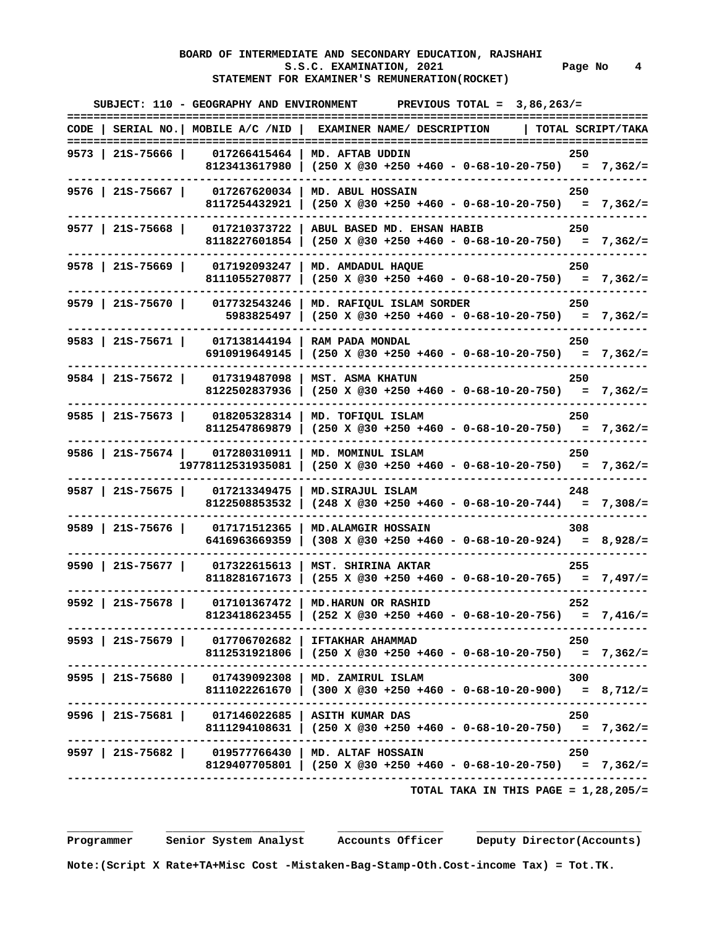# **BOARD OF INTERMEDIATE AND SECONDARY EDUCATION, RAJSHAHI**  S.S.C. EXAMINATION, 2021 Page No 4  **STATEMENT FOR EXAMINER'S REMUNERATION(ROCKET)**

| ===========       |     | SUBJECT: 110 - GEOGRAPHY AND ENVIRONMENT PREVIOUS TOTAL = $3,86,263/$ =    |                                                     |                     |  |
|-------------------|-----|----------------------------------------------------------------------------|-----------------------------------------------------|---------------------|--|
| TOTAL SCRIPT/TAKA |     | CODE   SERIAL NO.   MOBILE A/C /NID   EXAMINER NAME/ DESCRIPTION           |                                                     |                     |  |
|                   | 250 |                                                                            | 017266415464   MD. AFTAB UDDIN                      | 9573   21S-75666    |  |
|                   |     | 8123413617980   (250 X @30 +250 +460 - 0-68-10-20-750) = 7,362/=           |                                                     |                     |  |
|                   | 250 | MD. ABUL HOSSAIN                                                           | 017267620034                                        | $9576$   21S-75667  |  |
|                   |     | $(250 \t X \t @30 +250 +460 - 0-68-10-20-750) = 7,362/=$                   | 8117254432921                                       |                     |  |
|                   | 250 | $017210373722$   ABUL BASED MD. EHSAN HABIB                                |                                                     | $9577$   21S-75668  |  |
|                   |     | 8118227601854   (250 X @30 +250 +460 - 0-68-10-20-750) = 7,362/=           |                                                     |                     |  |
|                   | 250 |                                                                            | $017192093247$   MD. AMDADUL HAQUE                  | $9578$   215-75669  |  |
|                   |     | 8111055270877   (250 X @30 +250 +460 - 0-68-10-20-750) = 7,362/=           |                                                     |                     |  |
|                   | 250 | MD. RAFIQUL ISLAM SORDER                                                   | 017732543246                                        | 9579   21S-75670    |  |
|                   |     | 5983825497   $(250 \times @30 +250 +460 - 0-68-10-20-750) = 7,362/=$       |                                                     |                     |  |
|                   | 250 |                                                                            | $017138144194$   RAM PADA MONDAL                    | $9583$   21S-75671  |  |
|                   |     | $(250 \t{X} \t@30 + 250 + 460 - 0 - 68 - 10 - 20 - 750) = 7,362/=$         | 6910919649145                                       |                     |  |
|                   | 250 | MST. ASMA KHATUN                                                           | 017319487098                                        | 9584   215-75672    |  |
|                   |     | $(250 \t X \t @30 +250 +460 - 0-68-10-20-750) = 7,362/=$                   | 8122502837936                                       |                     |  |
|                   | 250 | MD. TOFIOUL ISLAM                                                          | 018205328314                                        | 9585   21s-75673    |  |
|                   |     | $(250 \t X \t @30 +250 +460 - 0-68-10-20-750) = 7,362/=$                   | 8112547869879                                       |                     |  |
|                   | 250 | MD. MOMINUL ISLAM                                                          | 9586   21S-75674   017280310911                     |                     |  |
|                   |     | $(250 \t X \t @30 +250 +460 - 0-68-10-20-750) = 7,362/=$                   | 19778112531935081                                   |                     |  |
|                   | 248 | MD. SIRAJUL ISLAM                                                          | 017213349475                                        | $9587$   215-75675  |  |
|                   |     | $(248 \times @30 +250 +460 - 0-68-10-20-744) = 7,308/=$                    | 8122508853532                                       |                     |  |
|                   | 308 | <b>MD.ALAMGIR HOSSAIN</b>                                                  | 017171512365                                        | 9589   21s-75676    |  |
|                   |     | $(308 \t{X} \t{0}30 + 250 + 460 - 0 - 68 - 10 - 20 - 924) = 8,928/=$       | 6416963669359                                       |                     |  |
|                   | 255 | MST. SHIRINA AKTAR                                                         | 017322615613                                        | $9590$   215-75677  |  |
|                   |     | 8118281671673   $(255 \t{X} \t{0}30 +250 +460 - 0-68-10-20-765) = 7,497/=$ |                                                     |                     |  |
|                   | 252 | 017101367472   MD.HARUN OR RASHID                                          |                                                     | $9592$   215-75678  |  |
|                   |     | 8123418623455   $(252 \times @30 +250 +460 - 0-68-10-20-756) = 7,416/=$    |                                                     |                     |  |
|                   | 250 |                                                                            | 9593   21S-75679   017706702682   IFTAKHAR AHAMMAD  |                     |  |
|                   |     | 8112531921806   (250 X @30 +250 +460 - 0-68-10-20-750) = 7,362/=           |                                                     |                     |  |
|                   | 300 |                                                                            | 9595   21S-75680   017439092308   MD. ZAMIRUL ISLAM |                     |  |
|                   |     | 8111022261670   (300 X @30 +250 +460 - 0-68-10-20-900) = 8,712/=           |                                                     |                     |  |
|                   | 250 |                                                                            | 9596   215-75681   017146022685   ASITH KUMAR DAS   |                     |  |
|                   |     | 8111294108631   (250 X @30 +250 +460 - 0-68-10-20-750) = 7,362/=           |                                                     |                     |  |
|                   | 250 |                                                                            | 9597   21S-75682   019577766430   MD. ALTAF HOSSAIN | ------------------- |  |
|                   |     | 8129407705801   (250 X @30 +250 +460 - 0-68-10-20-750) = 7,362/=           |                                                     |                     |  |
|                   |     | TOTAL TAKA IN THIS PAGE = $1,28,205/$ =                                    |                                                     |                     |  |
|                   |     |                                                                            |                                                     |                     |  |

 **Programmer Senior System Analyst Accounts Officer Deputy Director(Accounts)**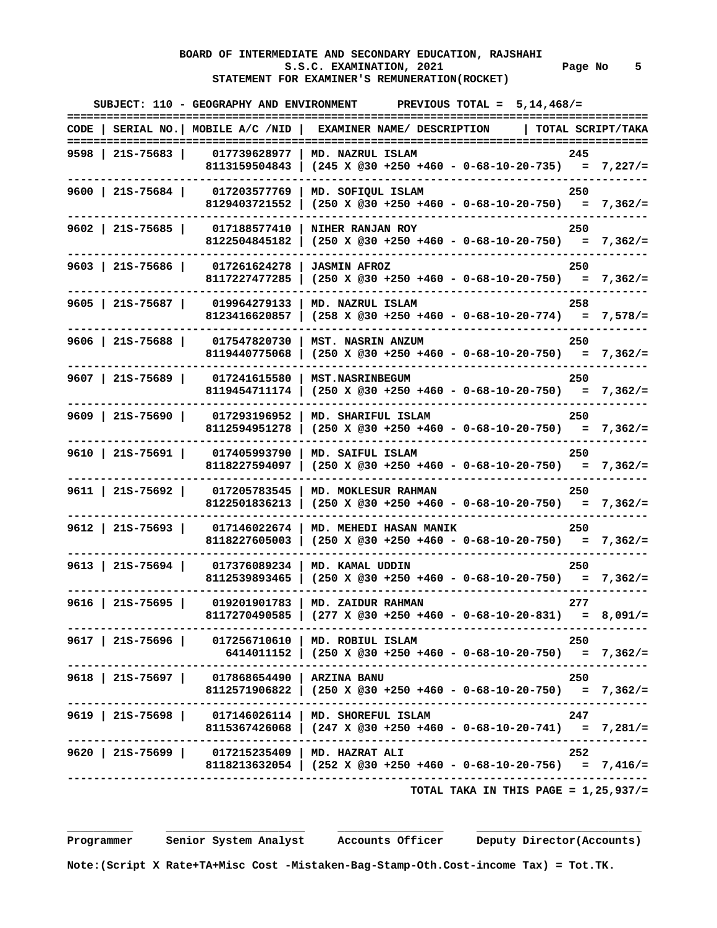# **BOARD OF INTERMEDIATE AND SECONDARY EDUCATION, RAJSHAHI**  S.S.C. EXAMINATION, 2021 **Page No** 5  **STATEMENT FOR EXAMINER'S REMUNERATION(ROCKET)**

|  |                                                   | SUBJECT: 110 - GEOGRAPHY AND ENVIRONMENT PREVIOUS TOTAL = $5,14,468/$ =<br>===================================<br>============ |
|--|---------------------------------------------------|--------------------------------------------------------------------------------------------------------------------------------|
|  |                                                   | CODE   SERIAL NO.   MOBILE A/C /NID   EXAMINER NAME/ DESCRIPTION   TOTAL SCRIPT/TAKA                                           |
|  |                                                   | 9598   21S-75683   017739628977   MD. NAZRUL ISLAM<br>245                                                                      |
|  |                                                   | 8113159504843   (245 X @30 +250 +460 - 0-68-10-20-735) = 7,227/=                                                               |
|  |                                                   | 9600   21S-75684   017203577769   MD. SOFIQUL ISLAM<br>250                                                                     |
|  |                                                   | 8129403721552   $(250 \times @30 +250 +460 - 0-68-10-20-750) = 7,362/=$                                                        |
|  |                                                   | 9602   21S-75685   017188577410   NIHER RANJAN ROY<br>250                                                                      |
|  |                                                   | 8122504845182   (250 X @30 +250 +460 - 0-68-10-20-750) = 7,362/=                                                               |
|  | 9603   21S-75686   017261624278   JASMIN AFROZ    | 250                                                                                                                            |
|  |                                                   | 8117227477285   (250 X @30 +250 +460 - 0-68-10-20-750) = 7,362/=                                                               |
|  |                                                   | 9605   21S-75687   019964279133   MD. NAZRUL ISLAM<br>258                                                                      |
|  |                                                   | 8123416620857   (258 X @30 +250 +460 - 0-68-10-20-774) = 7,578/=                                                               |
|  |                                                   | 9606   21S-75688   017547820730   MST. NASRIN ANZUM<br>250                                                                     |
|  |                                                   | 8119440775068   $(250 \times @30 +250 +460 - 0-68-10-20-750) = 7,362/=$                                                        |
|  | 9607   21S-75689   017241615580   MST.NASRINBEGUM | 250                                                                                                                            |
|  |                                                   | 8119454711174   (250 X @30 +250 +460 - 0-68-10-20-750) = 7,362/=                                                               |
|  |                                                   | 9609   21S-75690   017293196952   MD. SHARIFUL ISLAM<br>250                                                                    |
|  |                                                   | 8112594951278 (250 X @30 +250 +460 - 0-68-10-20-750) = 7,362/=                                                                 |
|  |                                                   | 9610   21S-75691   017405993790   MD. SAIFUL ISLAM<br>250                                                                      |
|  |                                                   | 8118227594097   (250 X @30 +250 +460 - 0-68-10-20-750) = 7,362/=                                                               |
|  |                                                   | 9611   21S-75692   017205783545   MD. MOKLESUR RAHMAN<br>250                                                                   |
|  |                                                   | 8122501836213   (250 X @30 +250 +460 - 0-68-10-20-750) = 7,362/=                                                               |
|  |                                                   | 9612   21S-75693   017146022674   MD. MEHEDI HASAN MANIK<br>250                                                                |
|  |                                                   | 8118227605003   (250 X @30 +250 +460 - 0-68-10-20-750) = 7,362/=                                                               |
|  | 9613   21S-75694   017376089234   MD. KAMAL UDDIN | 250                                                                                                                            |
|  |                                                   | 8112539893465   (250 X @30 +250 +460 - 0-68-10-20-750) = 7,362/=                                                               |
|  |                                                   | 9616   21S-75695   019201901783   MD. ZAIDUR RAHMAN<br>277                                                                     |
|  |                                                   | 8117270490585   (277 X @30 +250 +460 - 0-68-10-20-831) = 8,091/=                                                               |
|  |                                                   | .----------------------------------<br>9617   21S-75696   017256710610   MD. ROBIUL ISLAM<br>- 250                             |
|  |                                                   | 6414011152   (250 X @30 +250 +460 - 0-68-10-20-750) = 7,362/=                                                                  |
|  | 9618   21S-75697   017868654490   ARZINA BANU     | 250                                                                                                                            |
|  |                                                   | 8112571906822   (250 X @30 +250 +460 - 0-68-10-20-750) = 7,362/=                                                               |
|  |                                                   | 9619   21S-75698   017146026114   MD. SHOREFUL ISLAM<br>247                                                                    |
|  |                                                   | 8115367426068   $(247 \times 0.30 + 250 + 460 - 0.68 - 10 - 20 - 741) = 7,281/z$                                               |
|  | 9620   21S-75699   017215235409   MD. HAZRAT ALI  | ----------------------------------<br>252                                                                                      |
|  |                                                   | 8118213632054   (252 X @30 +250 +460 - 0-68-10-20-756) = 7,416/=                                                               |
|  |                                                   | TOTAL TAKA IN THIS PAGE = $1,25,937/$ =                                                                                        |

 **\_\_\_\_\_\_\_\_\_\_ \_\_\_\_\_\_\_\_\_\_\_\_\_\_\_\_\_\_\_\_\_ \_\_\_\_\_\_\_\_\_\_\_\_\_\_\_\_ \_\_\_\_\_\_\_\_\_\_\_\_\_\_\_\_\_\_\_\_\_\_\_\_\_** 

 **Programmer Senior System Analyst Accounts Officer Deputy Director(Accounts)** 

 **Note:(Script X Rate+TA+Misc Cost -Mistaken-Bag-Stamp-Oth.Cost-income Tax) = Tot.TK.**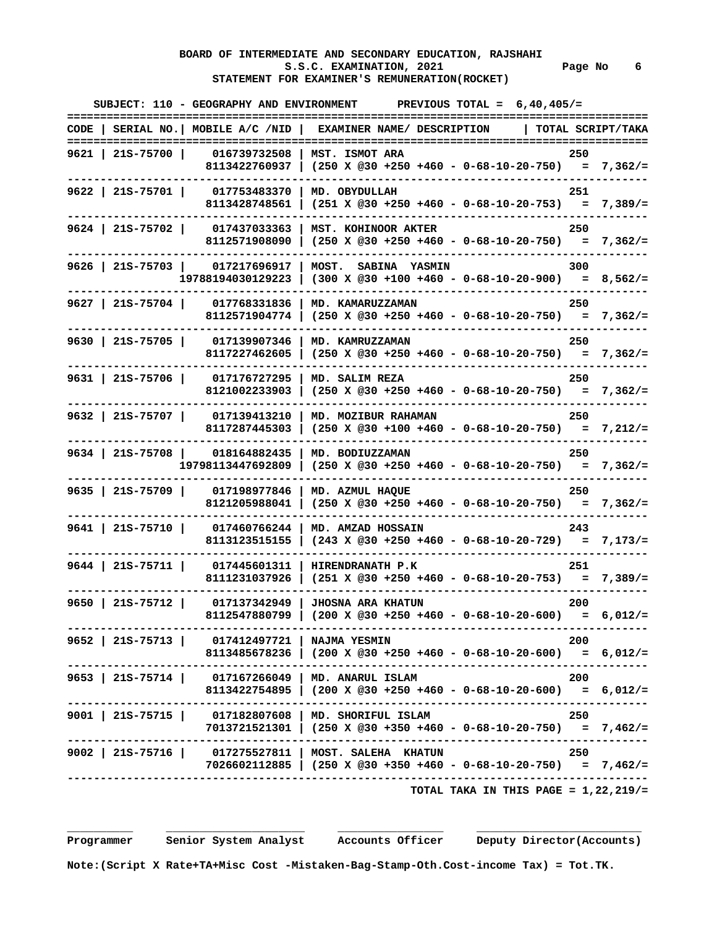# **BOARD OF INTERMEDIATE AND SECONDARY EDUCATION, RAJSHAHI**  S.S.C. EXAMINATION, 2021 **Page No** 6  **STATEMENT FOR EXAMINER'S REMUNERATION(ROCKET)**

| SUBJECT: 110 - GEOGRAPHY AND ENVIRONMENT PREVIOUS TOTAL = $6,40,405/$ =                                                         |                             |                                                                         |                                         |       |  |
|---------------------------------------------------------------------------------------------------------------------------------|-----------------------------|-------------------------------------------------------------------------|-----------------------------------------|-------|--|
| CODE   SERIAL NO.   MOBILE A/C /NID   EXAMINER NAME/ DESCRIPTION   TOTAL SCRIPT/TAKA                                            |                             |                                                                         |                                         |       |  |
| 9621   21S-75700   016739732508   MST. ISMOT ARA<br>8113422760937   (250 X @30 +250 +460 - 0-68-10-20-750) = 7,362/=            |                             |                                                                         |                                         | 250   |  |
| 9622   21S-75701   017753483370   MD. OBYDULLAH                                                                                 |                             | 8113428748561   $(251 \times @30 +250 +460 - 0-68-10-20-753) = 7,389/=$ |                                         | 251   |  |
| 9624   21S-75702   017437033363   MST. KOHINOOR AKTER                                                                           |                             | 8112571908090 (250 x @30 +250 +460 - 0-68-10-20-750) = 7,362/=          |                                         | 250   |  |
| 9626   215-75703   017217696917   MOST. SABINA YASMIN<br>$19788194030129223$   (300 X @30 +100 +460 - 0-68-10-20-900) = 8,562/= |                             |                                                                         |                                         | 300   |  |
| 9627   21S-75704   017768331836   MD. KAMARUZZAMAN                                                                              |                             | 8112571904774   $(250 \times @30 +250 +460 - 0-68-10-20-750) = 7,362/=$ |                                         | 250   |  |
| 9630   21S-75705   017139907346   MD. KAMRUZZAMAN                                                                               |                             | 8117227462605 (250 X @30 +250 +460 - 0-68-10-20-750) = 7,362/=          |                                         | 250   |  |
| 9631   21S-75706   017176727295   MD. SALIM REZA                                                                                |                             | 8121002233903   (250 X @30 +250 +460 - 0-68-10-20-750) = 7,362/=        |                                         | 250   |  |
| 9632   21S-75707   017139413210   MD. MOZIBUR RAHAMAN<br>8117287445303   (250 X @30 +100 +460 - 0-68-10-20-750) = 7,212/=       |                             |                                                                         |                                         | 250   |  |
| 9634   21S-75708   018164882435   MD. BODIUZZAMAN<br>$19798113447692809$   (250 X @30 +250 +460 - 0-68-10-20-750) = 7,362/=     |                             |                                                                         |                                         | 250   |  |
| 9635   21S-75709   017198977846   MD. AZMUL HAQUE                                                                               |                             | 8121205988041   (250 X @30 +250 +460 - 0-68-10-20-750) = 7,362/=        |                                         | 250   |  |
| 9641   21S-75710   017460766244   MD. AMZAD HOSSAIN                                                                             |                             | 8113123515155   $(243 \times @30 +250 +460 - 0-68-10-20-729) = 7,173/=$ |                                         | 243   |  |
| 9644   21S-75711   017445601311   HIRENDRANATH P.K<br>8111231037926   (251 X @30 +250 +460 - 0-68-10-20-753) = 7,389/=          |                             |                                                                         |                                         | - 251 |  |
| 9650   21S-75712   017137342949   JHOSNA ARA KHATUN                                                                             |                             | 8112547880799   (200 X @30 +250 +460 - 0-68-10-20-600) = 6,012/=        |                                         | 200   |  |
| ----------------------------<br>9652   21S-75713   017412497721   NAJMA YESMIN                                                  | --------------------------- | 8113485678236   (200 X @30 +250 +460 - 0-68-10-20-600) = 6,012/=        |                                         | 200   |  |
| 9653   21S-75714   017167266049   MD. ANARUL ISLAM<br>8113422754895   (200 X @30 +250 +460 - 0-68-10-20-600) = 6,012/=          |                             |                                                                         |                                         | 200   |  |
| 9001   21S-75715   017182807608   MD. SHORIFUL ISLAM                                                                            |                             | $7013721521301$ (250 X @30 +350 +460 - 0-68-10-20-750) = 7,462/=        |                                         | 250   |  |
| ---------------------------------<br>9002   21S-75716   017275527811   MOST. SALEHA KHATUN                                      |                             | 7026602112885   (250 X @30 +350 +460 - 0-68-10-20-750) = 7,462/=        |                                         | 250   |  |
|                                                                                                                                 |                             |                                                                         | TOTAL TAKA IN THIS PAGE = $1,22,219/$ = |       |  |

 **\_\_\_\_\_\_\_\_\_\_ \_\_\_\_\_\_\_\_\_\_\_\_\_\_\_\_\_\_\_\_\_ \_\_\_\_\_\_\_\_\_\_\_\_\_\_\_\_ \_\_\_\_\_\_\_\_\_\_\_\_\_\_\_\_\_\_\_\_\_\_\_\_\_**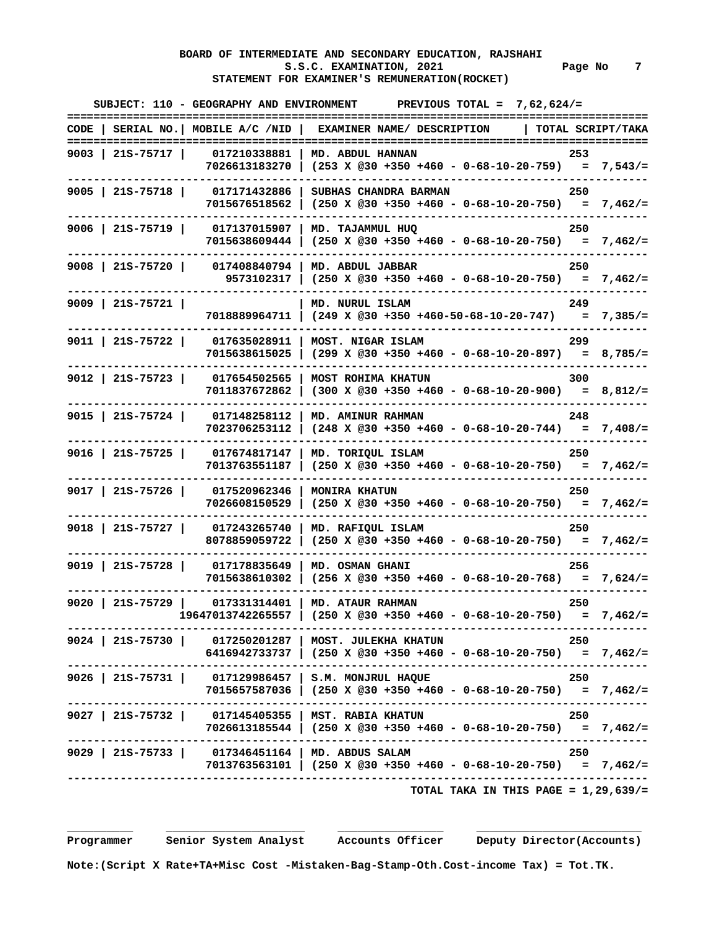# **BOARD OF INTERMEDIATE AND SECONDARY EDUCATION, RAJSHAHI**  S.S.C. EXAMINATION, 2021 **Page No** 7  **STATEMENT FOR EXAMINER'S REMUNERATION(ROCKET)**

| :============     |                                         | SUBJECT: 110 - GEOGRAPHY AND ENVIRONMENT PREVIOUS TOTAL = $7,62,624/=$<br>=============================== |                           |                                                                                                |                    |  |
|-------------------|-----------------------------------------|-----------------------------------------------------------------------------------------------------------|---------------------------|------------------------------------------------------------------------------------------------|--------------------|--|
| TOTAL SCRIPT/TAKA |                                         | CODE   SERIAL NO.   MOBILE $A/C$ /NID   EXAMINER NAME/ DESCRIPTION                                        |                           |                                                                                                |                    |  |
| 253               |                                         | 7026613183270   (253 X @30 +350 +460 - 0-68-10-20-759) = 7,543/=                                          |                           | 9003   21S-75717   017210338881   MD. ABDUL HANNAN                                             |                    |  |
| 250               |                                         | $(250 \t{X} \t@30 + 350 + 460 - 0 - 68 - 10 - 20 - 750) = 7,462/=$                                        |                           | 017171432886   SUBHAS CHANDRA BARMAN<br>7015676518562                                          | $9005$   21S-75718 |  |
| 250               |                                         | $7015638609444$ (250 X @30 +350 +460 - 0-68-10-20-750) = 7,462/=                                          |                           | 9006   21S-75719   017137015907   MD. TAJAMMUL HUQ                                             |                    |  |
| 250               |                                         | 9573102317   $(250 \times @30 +350 +460 - 0-68-10-20-750) = 7,462/=$                                      |                           | 017408840794   MD. ABDUL JABBAR                                                                | $9008$   215-75720 |  |
| 249               |                                         | 7018889964711   $(249 \t{X} \t@30 + 350 + 460 - 50 - 68 - 10 - 20 - 747) = 7,385/-$                       | MD. NURUL ISLAM           |                                                                                                | $9009$   21S-75721 |  |
| 299               |                                         | $7015638615025$ (299 X @30 +350 +460 - 0-68-10-20-897) = 8,785/=                                          |                           | 9011   21S-75722   017635028911   MOST. NIGAR ISLAM                                            |                    |  |
| 300               |                                         | $(300 \times @30 +350 +460 - 0-68-10-20-900) = 8,812/=$                                                   | <b>MOST ROHIMA KHATUN</b> | 017654502565<br>7011837672862                                                                  | $9012$   21s-75723 |  |
| 248               |                                         | $(248 \t{X} \t@30 + 350 + 460 - 0 - 68 - 10 - 20 - 744) = 7,408/=$                                        | MD. AMINUR RAHMAN         | 017148258112<br>7023706253112                                                                  | $9015$   21S-75724 |  |
| 250               |                                         | 7013763551187   $(250 \times @30 +350 +460 - 0-68-10-20-750) = 7,462/=$                                   |                           | 9016   21S-75725   017674817147   MD. TORIQUL ISLAM                                            |                    |  |
| 250               |                                         | $(250 \times @30 +350 +460 - 0-68-10-20-750) = 7,462/=$                                                   | <b>MONIRA KHATUN</b>      | 017520962346<br>7026608150529                                                                  | $9017$   21S-75726 |  |
| 250               |                                         |                                                                                                           | MD. RAFIQUL ISLAM         | 017243265740<br>8078859059722                                                                  | $9018$   21S-75727 |  |
| 256               |                                         | $7015638610302$ (256 X @30 +350 +460 - 0-68-10-20-768) = 7,624/=                                          | MD. OSMAN GHANI           | 9019   21S-75728   017178835649                                                                |                    |  |
| 250               |                                         | $19647013742265557$ (250 X @30 +350 +460 - 0-68-10-20-750) = 7,462/=                                      |                           | 9020   21S-75729   017331314401   MD. ATAUR RAHMAN                                             |                    |  |
| - 250             |                                         | $6416942733737$   (250 X @30 +350 +460 - 0-68-10-20-750) = 7,462/=                                        |                           | ------------------------------------<br>9024   21S-75730   017250201287   MOST. JULEKHA KHATUN |                    |  |
| 250               |                                         | 7015657587036   (250 X @30 +350 +460 - 0-68-10-20-750) = 7,462/=                                          |                           | -------------------<br>9026   215-75731   017129986457   S.M. MONJRUL HAQUE                    |                    |  |
| 250               |                                         | 7026613185544   (250 X @30 +350 +460 - 0-68-10-20-750) = 7,462/=                                          |                           | 9027   21S-75732   017145405355   MST. RABIA KHATUN                                            |                    |  |
| 250               |                                         | $7013763563101$ (250 X @30 +350 +460 - 0-68-10-20-750) = 7,462/=                                          |                           | 9029   21S-75733   017346451164   MD. ABDUS SALAM                                              |                    |  |
|                   | TOTAL TAKA IN THIS PAGE = $1,29,639/$ = |                                                                                                           |                           |                                                                                                |                    |  |

 **Programmer Senior System Analyst Accounts Officer Deputy Director(Accounts)**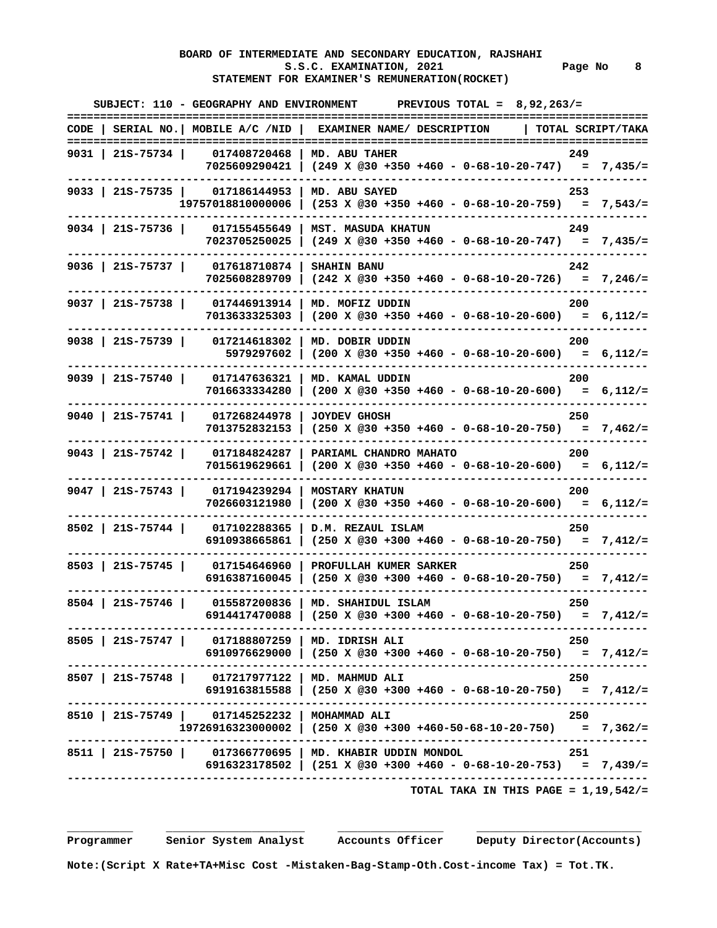# **BOARD OF INTERMEDIATE AND SECONDARY EDUCATION, RAJSHAHI**  S.S.C. EXAMINATION, 2021 Page No 8  **STATEMENT FOR EXAMINER'S REMUNERATION(ROCKET)**

|                    |                                                  | SUBJECT: 110 - GEOGRAPHY AND ENVIRONMENT PREVIOUS TOTAL = 8,92,263/=<br>==========                                                   |                   |
|--------------------|--------------------------------------------------|--------------------------------------------------------------------------------------------------------------------------------------|-------------------|
|                    |                                                  | CODE   SERIAL NO.   MOBILE A/C /NID   EXAMINER NAME/ DESCRIPTION                                                                     | TOTAL SCRIPT/TAKA |
| 9031   21S-75734   |                                                  | 017408720468   MD. ABU TAHER<br>7025609290421   (249 X @30 +350 +460 - 0-68-10-20-747) = 7,435/=                                     | 249               |
| 9033   21S-75735   | 017186144953<br>19757018810000006                | MD. ABU SAYED<br>$(253 \t X \t @30 +350 +460 - 0-68-10-20-759) = 7,543/=$                                                            | 253               |
| $9034$   21S-75736 | 017155455649                                     | MST. MASUDA KHATUN<br>$7023705250025$ (249 X @30 +350 +460 - 0-68-10-20-747) = 7,435/=                                               | 249               |
| $9036$   215-75737 | 017618710874                                     | <b>SHAHIN BANU</b><br>$7025608289709$ (242 X @30 +350 +460 - 0-68-10-20-726) = 7,246/=                                               | 242               |
| $9037$   21S-75738 | 017446913914                                     | MD. MOFIZ UDDIN<br>$7013633325303$ (200 X @30 +350 +460 - 0-68-10-20-600) = 6,112/=                                                  | 200               |
| $9038$   215-75739 | 017214618302<br>5979297602                       | MD. DOBIR UDDIN<br>$(200 \t X \t 230 +350 +460 - 0 -68 -10 - 20 -600) = 6,112/=$                                                     | 200               |
| $9039$   21S-75740 | 017147636321<br>7016633334280                    | MD. KAMAL UDDIN<br>$(200 \t X \t @30 +350 +460 - 0-68-10-20-600) = 6,112/=$                                                          | 200               |
| $9040$   21S-75741 | 017268244978<br>7013752832153                    | <b>JOYDEV GHOSH</b><br>$(250 \t X \t @30 +350 +460 - 0-68-10-20-750) = 7,462/=$                                                      | 250               |
| $9043$   21S-75742 | 017184824287<br>7015619629661<br>---------       | PARIAML CHANDRO MAHATO<br>$(200 \t X \t 230 +350 +460 - 0 -68 -10 - 20 -600) = 6,112/=$                                              | 200               |
| $9047$   21S-75743 | 017194239294<br>7026603121980                    | <b>MOSTARY KHATUN</b><br>$(200 \times @30 +350 +460 - 0-68-10-20-600) = 6,112/=$                                                     | 200               |
| 8502   21S-75744   | 017102288365<br>6910938665861                    | D.M. REZAUL ISLAM<br>$(250 \t X \t 230 + 300 + 460 - 0 - 68 - 10 - 20 - 750) = 7,412/=$                                              | 250               |
| 8503   21S-75745   | 017154646960<br>6916387160045                    | PROFULLAH KUMER SARKER<br>$(250 \t X \t 230 + 300 + 460 - 0 - 68 - 10 - 20 - 750) = 7,412/z$                                         | 250               |
| $8504$   215-75746 | 015587200836<br>6914417470088                    | MD. SHAHIDUL ISLAM<br>$(250 \t X \t 230 + 300 + 460 - 0 - 68 - 10 - 20 - 750) = 7,412/=$                                             | 250               |
|                    | 8505   21S-75747   017188807259   MD. IDRISH ALI | 6910976629000   (250 X @30 +300 +460 - 0-68-10-20-750) = 7,412/=                                                                     | 250               |
|                    | 8507   21S-75748   017217977122   MD. MAHMUD ALI | $6919163815588$   $(250 \t{X} @30 +300 +460 - 0-68-10-20-750) = 7,412/z$                                                             | 250               |
|                    | 8510   21S-75749   017145252232   MOHAMMAD ALI   | $19726916323000002$   (250 X @30 +300 +460-50-68-10-20-750) = 7,362/=                                                                | 250               |
|                    |                                                  | 8511   21s-75750   017366770695   MD. KHABIR UDDIN MONDOL<br>6916323178502   $(251 \times @30 +300 +460 - 0-68-10-20-753) = 7,439/=$ | 251               |
|                    |                                                  | TOTAL TAKA IN THIS PAGE = $1,19,542/=$                                                                                               |                   |

 **Programmer Senior System Analyst Accounts Officer Deputy Director(Accounts)**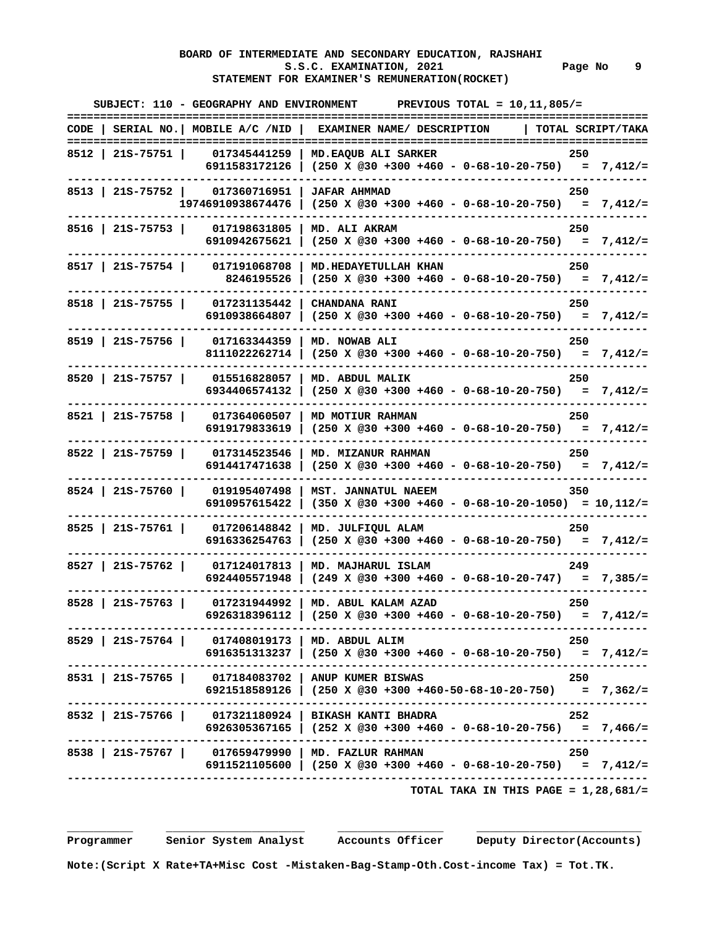# **BOARD OF INTERMEDIATE AND SECONDARY EDUCATION, RAJSHAHI**  S.S.C. EXAMINATION, 2021 **Page No** 9  **STATEMENT FOR EXAMINER'S REMUNERATION(ROCKET)**

|                                                    | SUBJECT: 110 - GEOGRAPHY AND ENVIRONMENT PREVIOUS TOTAL = $10,11,805/$ =                                                                                              |
|----------------------------------------------------|-----------------------------------------------------------------------------------------------------------------------------------------------------------------------|
|                                                    | CODE   SERIAL NO.   MOBILE A/C /NID   EXAMINER NAME/ DESCRIPTION<br>  TOTAL SCRIPT/TAKA                                                                               |
|                                                    | 8512   21S-75751   017345441259   MD. EAQUB ALI SARKER<br>250<br>6911583172126   (250 X @30 +300 +460 - 0-68-10-20-750) = 7,412/=                                     |
| 8513   21S-75752   017360716951   JAFAR AHMMAD     | 250<br>$19746910938674476$ (250 X @30 +300 +460 - 0-68-10-20-750) = 7,412/=                                                                                           |
| 8516   21S-75753   017198631805   MD. ALI AKRAM    | 250<br>6910942675621   $(250 \times @30 +300 +460 - 0-68-10-20-750) = 7,412/=$                                                                                        |
|                                                    | 8517   21S-75754   017191068708   MD. HEDAYETULLAH KHAN<br>250<br>8246195526   (250 X @30 +300 +460 - 0-68-10-20-750) = 7,412/=                                       |
| 8518   21S-75755   017231135442   CHANDANA RANI    | 250<br>6910938664807   $(250 \times @30 +300 +460 - 0-68-10-20-750) = 7,412/=$                                                                                        |
| 8519   21S-75756   017163344359   MD. NOWAB ALI    | 250<br>8111022262714   $(250 \times @30 +300 +460 - 0-68-10-20-750) = 7,412/=$                                                                                        |
| 8520   21S-75757   015516828057   MD. ABDUL MALIK  | 250<br>6934406574132   (250 X @30 +300 +460 - 0-68-10-20-750) = 7,412/=                                                                                               |
| 8521   21S-75758   017364060507   MD MOTIUR RAHMAN | 250<br>6919179833619   $(250 \times @30 +300 +460 - 0-68-10-20-750) = 7,412/=$                                                                                        |
|                                                    | 8522   21S-75759   017314523546   MD. MIZANUR RAHMAN<br>- 250<br>6914417471638   (250 X @30 +300 +460 - 0-68-10-20-750) = 7,412/=                                     |
|                                                    | 8524   21S-75760   019195407498   MST. JANNATUL NAEEM<br>350<br>6910957615422   (350 X @30 +300 +460 - 0-68-10-20-1050) = $10,112/=$                                  |
|                                                    | 8525   21S-75761   017206148842   MD. JULFIQUL ALAM<br>250<br>6916336254763   (250 X @30 +300 +460 - 0-68-10-20-750) = 7,412/=                                        |
|                                                    | 8527   21S-75762   017124017813   MD. MAJHARUL ISLAM<br>249<br>6924405571948 (249 X @30 +300 +460 - 0-68-10-20-747) = 7,385/=                                         |
|                                                    | 8528   21S-75763   017231944992   MD. ABUL KALAM AZAD<br>- 250<br>6926318396112   $(250 \times @30 +300 +460 - 0-68-10-20-750) = 7,412/=$                             |
| 8529   21S-75764   017408019173   MD. ABDUL ALIM   | - 250<br>6916351313237   (250 X @30 +300 +460 - 0-68-10-20-750) = 7,412/=                                                                                             |
|                                                    | ----------------------------<br>8531   21S-75765   017184083702   ANUP KUMER BISWAS<br>250<br>6921518589126   (250 X @30 +300 +460-50-68-10-20-750) = 7,362/=         |
|                                                    | 8532   21S-75766   017321180924   BIKASH KANTI BHADRA<br>252<br>6926305367165   (252 X @30 +300 +460 - 0-68-10-20-756) = 7,466/=                                      |
|                                                    | -----------------------------------<br>8538   21S-75767   017659479990   MD. FAZLUR RAHMAN<br>250<br>6911521105600   (250 X @30 +300 +460 - 0-68-10-20-750) = 7,412/= |
|                                                    | TOTAL TAKA IN THIS PAGE = $1,28,681/$ =                                                                                                                               |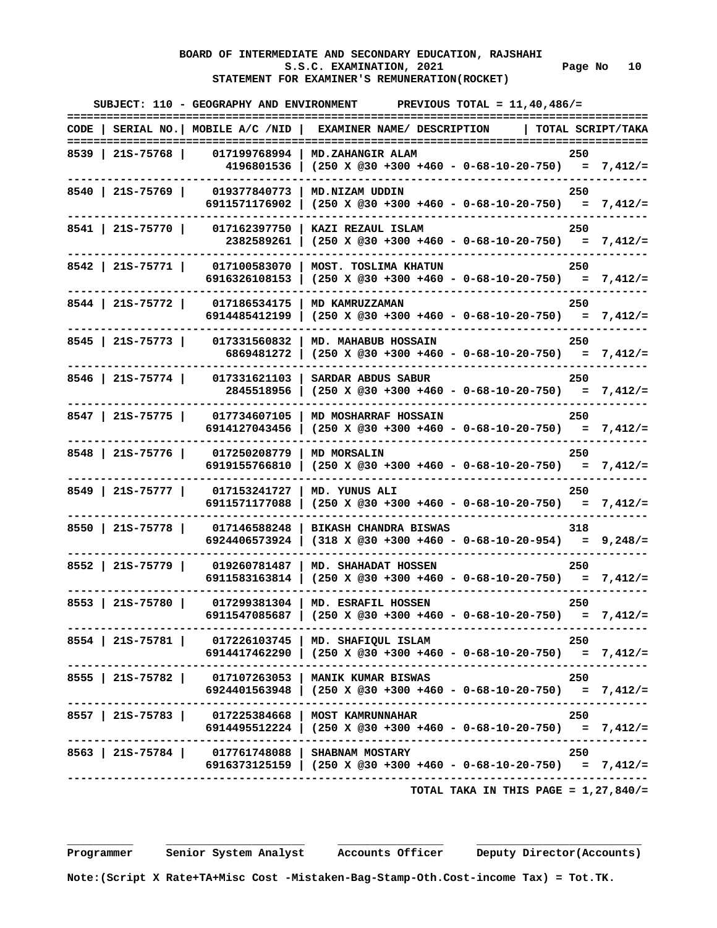#### **BOARD OF INTERMEDIATE AND SECONDARY EDUCATION, RAJSHAHI S.S.C. EXAMINATION, 2021 Page No 10 STATEMENT FOR EXAMINER'S REMUNERATION(ROCKET)**

| ===================== | SUBJECT: 110 - GEOGRAPHY AND ENVIRONMENT           | PREVIOUS TOTAL = $11,40,486/$ =                                                                          |                   |
|-----------------------|----------------------------------------------------|----------------------------------------------------------------------------------------------------------|-------------------|
|                       | $CODE$   SERIAL NO.   MOBILE A/C /NID              | EXAMINER NAME/ DESCRIPTION                                                                               | TOTAL SCRIPT/TAKA |
| 8539   215-75768      | 017199768994                                       | MD.ZAHANGIR ALAM                                                                                         | 250               |
|                       |                                                    | 4196801536   (250 X @30 +300 +460 - 0-68-10-20-750) = 7,412/=                                            |                   |
| 8540   21S-75769      | 019377840773                                       | MD.NIZAM UDDIN                                                                                           | 250               |
|                       | 6911571176902                                      | $(250 \t X \t @30 +300 +460 - 0-68-10-20-750) = 7,412/=$                                                 |                   |
| 8541   21S-75770      | 017162397750                                       | KAZI REZAUL ISLAM                                                                                        | 250               |
|                       | 2382589261                                         |                                                                                                          |                   |
| 8542   21S-75771      | 017100583070                                       | MOST. TOSLIMA KHATUN                                                                                     | 250               |
|                       | 6916326108153                                      | $(250 \t X \t @30 +300 +460 - 0-68-10-20-750) = 7,412/=$                                                 |                   |
| 8544   21S-75772      | 017186534175                                       | MD KAMRUZZAMAN                                                                                           | 250               |
|                       | 6914485412199                                      | $(250 \t X \t @30 +300 +460 - 0-68-10-20-750) = 7,412/=$                                                 |                   |
| $8545$   215-75773    | 017331560832                                       | MD. MAHABUB HOSSAIN                                                                                      | 250               |
|                       | 6869481272                                         |                                                                                                          |                   |
| $8546$   21S-75774    | 017331621103                                       | SARDAR ABDUS SABUR                                                                                       | 250               |
|                       | 2845518956                                         | $(250 \t X \t @30 +300 +460 - 0-68-10-20-750) = 7,412/=$                                                 |                   |
| 8547   21S-75775      | 017734607105                                       | MD MOSHARRAF HOSSAIN                                                                                     | 250               |
|                       | 6914127043456                                      | $(250 \t X \t 230 + 300 + 460 - 0 - 68 - 10 - 20 - 750) = 7,412/=$                                       |                   |
| 8548   215-75776      | 017250208779                                       | <b>MD MORSALIN</b>                                                                                       | 250               |
|                       | 6919155766810                                      | $(250 \t X \t @30 +300 +460 - 0-68-10-20-750) = 7,412/=$                                                 |                   |
| 8549   21S-75777      | 017153241727                                       | MD. YUNUS ALI                                                                                            | 250               |
|                       | 6911571177088                                      | $(250 \t X \t @30 +300 +460 - 0-68-10-20-750) = 7,412/=$                                                 |                   |
| 8550   21S-75778      | 017146588248                                       | <b>BIKASH CHANDRA BISWAS</b>                                                                             | 318               |
|                       | 6924406573924                                      | $(318 \t X \t 230 + 300 + 460 - 0 - 68 - 10 - 20 - 954) = 9,248/=$                                       |                   |
| 8552   21S-75779      | 019260781487                                       | MD. SHAHADAT HOSSEN                                                                                      | 250               |
|                       | 6911583163814                                      | $(250 \t X \t @30 +300 +460 - 0-68-10-20-750) = 7,412/=$                                                 |                   |
| 8553   21S-75780      | 017299381304                                       | MD. ESRAFIL HOSSEN                                                                                       | 250               |
|                       | 6911547085687                                      | $(250 \t X \t 230 + 300 + 460 - 0 - 68 - 10 - 20 - 750) = 7,412/=$<br>.--------------------------------- |                   |
|                       |                                                    | 8554   21S-75781   017226103745   MD. SHAFIQUL ISLAM                                                     | - 250             |
|                       |                                                    | 6914417462290   (250 X @30 +300 +460 - 0-68-10-20-750) = 7,412/=                                         |                   |
|                       |                                                    | 8555   21S-75782   017107263053   MANIK KUMAR BISWAS                                                     | 250               |
|                       |                                                    | 6924401563948   (250 X @30 +300 +460 - 0-68-10-20-750) = 7,412/=                                         |                   |
|                       | 8557   21S-75783   017225384668   MOST KAMRUNNAHAR |                                                                                                          | 250               |
|                       |                                                    | 6914495512224   (250 X @30 +300 +460 - 0-68-10-20-750) = 7,412/=                                         |                   |
|                       | 8563   21S-75784   017761748088   SHABNAM MOSTARY  |                                                                                                          | 250               |
|                       |                                                    | 6916373125159   (250 X @30 +300 +460 - 0-68-10-20-750) = 7,412/=                                         |                   |
|                       |                                                    | TOTAL TAKA IN THIS PAGE = $1,27,840/$ =                                                                  |                   |

 **Programmer Senior System Analyst Accounts Officer Deputy Director(Accounts)**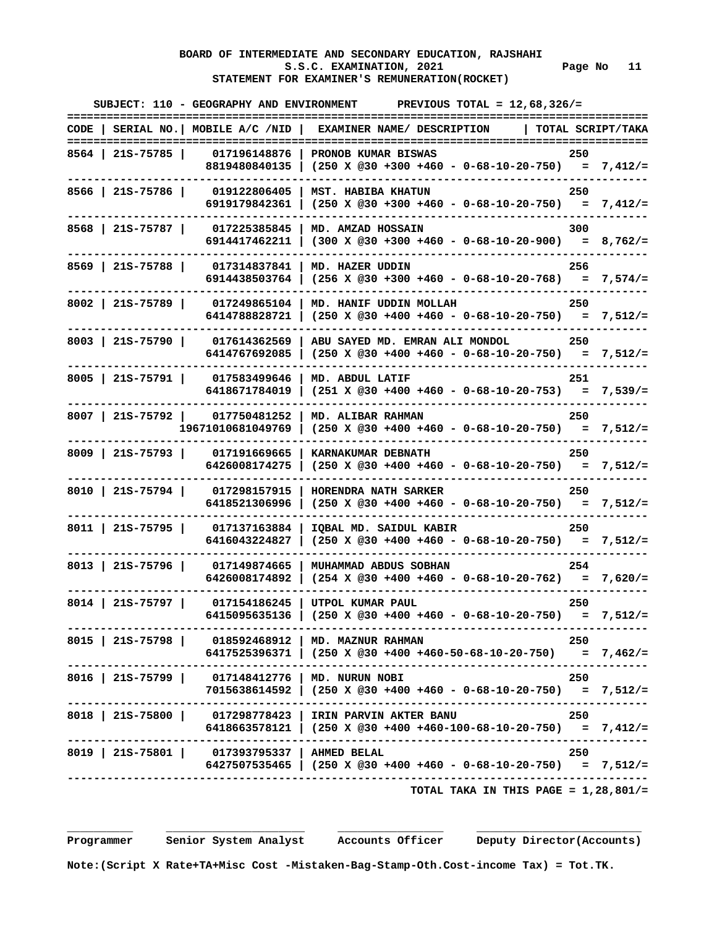# **BOARD OF INTERMEDIATE AND SECONDARY EDUCATION, RAJSHAHI**  S.S.C. EXAMINATION, 2021 Page No 11  **STATEMENT FOR EXAMINER'S REMUNERATION(ROCKET)**

| ==================== | SUBJECT: 110 - GEOGRAPHY AND ENVIRONMENT         | PREVIOUS TOTAL = $12,68,326/$ =                                                              |     |                   |
|----------------------|--------------------------------------------------|----------------------------------------------------------------------------------------------|-----|-------------------|
|                      | $CODE$   SERIAL NO.   MOBILE A/C /NID            | EXAMINER NAME/ DESCRIPTION                                                                   |     | TOTAL SCRIPT/TAKA |
| 8564   21S-75785     | 017196148876                                     | PRONOB KUMAR BISWAS                                                                          | 250 |                   |
|                      |                                                  | 8819480840135   (250 X @30 +300 +460 - 0-68-10-20-750) = 7,412/=                             |     |                   |
| $8566$   21S-75786   | 019122806405                                     | MST. HABIBA KHATUN                                                                           | 250 |                   |
|                      | 6919179842361                                    | $(250 \t X \t @30 +300 +460 - 0-68-10-20-750) = 7,412/=$                                     |     |                   |
| $8568$   215-75787   | 017225385845                                     | MD. AMZAD HOSSAIN                                                                            | 300 |                   |
|                      | 6914417462211                                    | $(300 \t X \t 030 + 300 + 460 - 0 - 68 - 10 - 20 - 900) = 8,762/=$                           |     |                   |
| 8569   215-75788     | 017314837841                                     | MD. HAZER UDDIN                                                                              | 256 |                   |
|                      | 6914438503764                                    | $(256 \t X \t @30 +300 +460 - 0-68-10-20-768) = 7,574/=$                                     |     |                   |
| $8002$   215-75789   | 017249865104                                     | MD. HANIF UDDIN MOLLAH                                                                       | 250 |                   |
|                      | 6414788828721                                    | $(250 \t X \t @30 +400 +460 - 0-68-10-20-750) = 7,512/=$                                     |     |                   |
| $8003$   215-75790   | 017614362569                                     | ABU SAYED MD. EMRAN ALI MONDOL                                                               | 250 |                   |
|                      | 6414767692085                                    | $(250 \t X \t @30 +400 +460 - 0-68-10-20-750) = 7,512/=$                                     |     |                   |
| $8005$   21S-75791   | 017583499646                                     | MD. ABDUL LATIF                                                                              | 251 |                   |
|                      | 6418671784019                                    | $(251 \t X \t @30 +400 +460 - 0-68-10-20-753) = 7,539/=$                                     |     |                   |
|                      | 8007   21s-75792   017750481252                  | MD. ALIBAR RAHMAN                                                                            | 250 |                   |
|                      | 19671010681049769                                | $(250 \t X \t 030 + 400 + 460 - 0 - 68 - 10 - 20 - 750) = 7,512/=$                           |     |                   |
|                      | 8009   21S-75793   017191669665                  | KARNAKUMAR DEBNATH                                                                           | 250 |                   |
|                      | 6426008174275                                    | $(250 \t X \t @30 +400 +460 - 0-68-10-20-750) = 7,512/=$                                     |     |                   |
| 8010   21S-75794     | 017298157915                                     | HORENDRA NATH SARKER                                                                         | 250 |                   |
|                      | 6418521306996                                    | $(250 \t X \t @30 +400 +460 - 0-68-10-20-750) = 7,512/=$                                     |     |                   |
| 8011   21S-75795     | 017137163884                                     | IQBAL MD. SAIDUL KABIR                                                                       | 250 |                   |
|                      | 6416043224827                                    | $(250 \t X \t @30 +400 +460 - 0-68-10-20-750) = 7,512/=$                                     |     |                   |
| $8013$   215-75796   | 017149874665                                     | MUHAMMAD ABDUS SOBHAN                                                                        | 254 |                   |
|                      | 6426008174892                                    | $(254 \times @30 +400 +460 - 0-68-10-20-762) = 7,620/=$                                      |     |                   |
| $8014$   21S-75797   | 017154186245                                     | UTPOL KUMAR PAUL                                                                             | 250 |                   |
|                      | 6415095635136                                    | $(250 \t X \t @30 +400 +460 - 0-68-10-20-750) = 7,512/=$<br>.------------------------------- |     |                   |
|                      |                                                  | 8015   21S-75798   018592468912   MD. MAZNUR RAHMAN                                          | 250 |                   |
|                      |                                                  | 6417525396371   (250 X @30 +400 +460-50-68-10-20-750) = 7,462/=                              |     |                   |
|                      | 8016   21S-75799   017148412776   MD. NURUN NOBI |                                                                                              | 250 |                   |
|                      |                                                  | 7015638614592   (250 X @30 +400 +460 - 0-68-10-20-750) = 7,512/=                             |     |                   |
|                      |                                                  | 8018   21S-75800   017298778423   IRIN PARVIN AKTER BANU                                     | 250 |                   |
|                      |                                                  | 6418663578121   (250 X @30 +400 +460-100-68-10-20-750) = 7,412/=                             |     |                   |
|                      | 8019   21S-75801   017393795337   AHMED BELAL    |                                                                                              | 250 |                   |
|                      |                                                  | 6427507535465   (250 X @30 +400 +460 - 0-68-10-20-750) = 7,512/=                             |     |                   |
|                      |                                                  | TOTAL TAKA IN THIS PAGE = $1,28,801/$ =                                                      |     |                   |

 **Programmer Senior System Analyst Accounts Officer Deputy Director(Accounts)**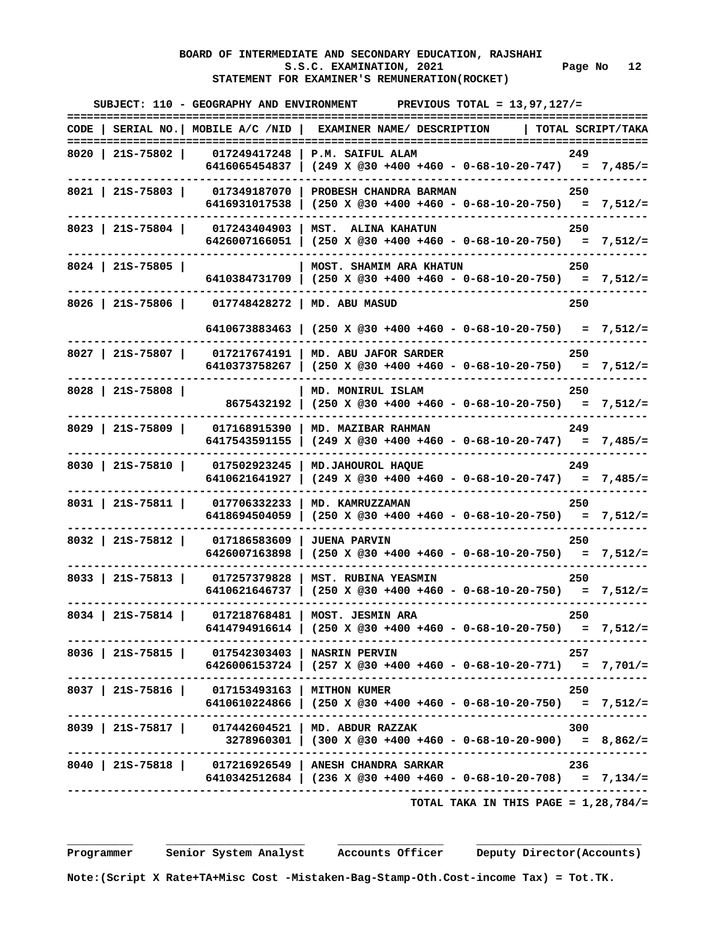#### **BOARD OF INTERMEDIATE AND SECONDARY EDUCATION, RAJSHAHI**  S.S.C. EXAMINATION, 2021 Page No 12  **STATEMENT FOR EXAMINER'S REMUNERATION(ROCKET)**

|                    |                                                    | SUBJECT: 110 - GEOGRAPHY AND ENVIRONMENT PREVIOUS TOTAL = $13.97.127/$ =<br>. _ _ _ _ _ _ _ _ _                            |     |                   |
|--------------------|----------------------------------------------------|----------------------------------------------------------------------------------------------------------------------------|-----|-------------------|
|                    | CODE   SERIAL NO.  MOBILE A/C /NID                 | EXAMINER NAME/ DESCRIPTION                                                                                                 |     | TOTAL SCRIPT/TAKA |
| 8020   215-75802   | 017249417248<br>6416065454837                      | P.M. SAIFUL ALAM                                                                                                           | 249 |                   |
|                    | 8021   215-75803   017349187070<br>6416931017538   | PROBESH CHANDRA BARMAN                                                                                                     | 250 |                   |
| $8023$   215-75804 | 017243404903<br>6426007166051                      | MST. ALINA KAHATUN<br>$(250 \times @30 +400 +460 - 0-68-10-20-750) = 7,512/=$                                              | 250 |                   |
| $8024$   215-75805 |                                                    | <b>MOST. SHAMIM ARA KHATUN</b><br>6410384731709   (250 X @30 +400 +460 - 0-68-10-20-750) = 7,512/=                         | 250 |                   |
|                    | 8026   21S-75806   017748428272   MD. ABU MASUD    |                                                                                                                            | 250 |                   |
|                    |                                                    | 6410673883463   (250 X @30 +400 +460 - 0-68-10-20-750) = 7,512/=                                                           |     |                   |
|                    | 8027   215-75807   017217674191  <br>6410373758267 | MD. ABU JAFOR SARDER                                                                                                       | 250 |                   |
| 8028   215-75808   | 8675432192                                         | MD. MONIRUL ISLAM<br>$(250 \t X \t @30 +400 +460 - 0-68-10-20-750) = 7,512/=$                                              | 250 |                   |
| $8029$   215-75809 | 017168915390<br>6417543591155                      | MD. MAZIBAR RAHMAN<br>$(249 \t X \t @30 +400 +460 - 0-68-10-20-747) = 7,485/=$                                             | 249 |                   |
| $8030$   21S-75810 | ------<br>017502923245<br>6410621641927            | MD. JAHOUROL HAQUE                                                                                                         | 249 |                   |
| $8031$   21S-75811 | 017706332233<br>6418694504059                      | MD. KAMRUZZAMAN<br>$(250 \times @30 +400 +460 - 0-68-10-20-750) = 7,512/=$                                                 | 250 |                   |
| $8032$   215-75812 | 017186583609<br>6426007163898                      | <b>JUENA PARVIN</b><br>$(250 \t X \t 230 + 400 + 460 - 0 - 68 - 10 - 20 - 750) = 7,512/z$                                  | 250 |                   |
| $8033$   215-75813 | 017257379828<br>6410621646737                      | MST. RUBINA YEASMIN                                                                                                        | 250 |                   |
| $8034$   215-75814 | 017218768481                                       | MOST. JESMIN ARA<br>6414794916614   (250 X @30 +400 +460 - 0-68-10-20-750) = 7,512/=                                       | 250 |                   |
|                    | 8036   21S-75815   017542303403   NASRIN PERVIN    | 6426006153724   (257 X @30 +400 +460 - 0-68-10-20-771) = 7,701/=                                                           | 257 |                   |
|                    | 8037   21S-75816   017153493163   MITHON KUMER     | 6410610224866   (250 X @30 +400 +460 - 0-68-10-20-750) = 7,512/=                                                           | 250 |                   |
|                    | 8039   215-75817   017442604521   MD. ABDUR RAZZAK | $3278960301$ (300 X @30 +400 +460 - 0-68-10-20-900) = 8,862/=                                                              | 300 |                   |
|                    | . _ _ _ _ _ _ _ _ _ _ _ _ _ _                      | 8040   21S-75818   017216926549   ANESH CHANDRA SARKAR<br>6410342512684   (236 X @30 +400 +460 - 0-68-10-20-708) = 7,134/= | 236 |                   |
|                    |                                                    | TOTAL TAKA IN THIS PAGE = $1,28,784/$ =                                                                                    |     |                   |

 **\_\_\_\_\_\_\_\_\_\_ \_\_\_\_\_\_\_\_\_\_\_\_\_\_\_\_\_\_\_\_\_ \_\_\_\_\_\_\_\_\_\_\_\_\_\_\_\_ \_\_\_\_\_\_\_\_\_\_\_\_\_\_\_\_\_\_\_\_\_\_\_\_\_**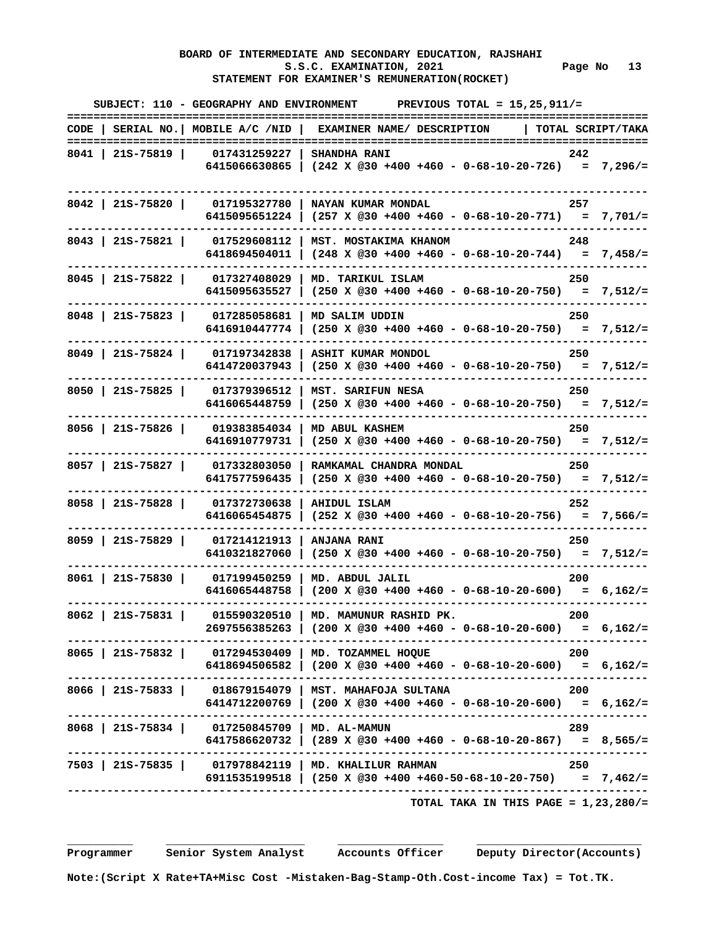#### **BOARD OF INTERMEDIATE AND SECONDARY EDUCATION, RAJSHAHI S.S.C. EXAMINATION, 2021 Page No 13 STATEMENT FOR EXAMINER'S REMUNERATION(ROCKET)**

|                    | SUBJECT: 110 - GEOGRAPHY AND ENVIRONMENT           | PREVIOUS TOTAL = $15,25,911/$ =                                                                                                                |                   |
|--------------------|----------------------------------------------------|------------------------------------------------------------------------------------------------------------------------------------------------|-------------------|
|                    |                                                    | CODE   SERIAL NO.   MOBILE $A/C$ /NID   EXAMINER NAME/ DESCRIPTION                                                                             | TOTAL SCRIPT/TAKA |
| 8041   21S-75819   | 017431259227                                       | <b>SHANDHA RANI</b><br>6415066630865   $(242 \times 030 + 400 + 460 - 0 - 68 - 10 - 20 - 726) = 7,296/=$                                       | 242               |
| $8042$   215-75820 | 017195327780                                       | NAYAN KUMAR MONDAL<br>6415095651224   (257 X @30 +400 +460 - 0-68-10-20-771) = 7,701/=                                                         | 257               |
|                    | 8043   215-75821   017529608112  <br>6418694504011 | MST. MOSTAKIMA KHANOM<br>$(248 \times @30 +400 +460 - 0-68-10-20-744) = 7,458/=$                                                               | 248               |
| $8045$   21S-75822 | 017327408029<br>6415095635527                      | MD. TARIKUL ISLAM<br>$(250 \t X \t 230 + 400 + 460 - 0 - 68 - 10 - 20 - 750) = 7,512/=$                                                        | 250               |
| $8048$   215-75823 | 017285058681<br>6416910447774                      | MD SALIM UDDIN<br>$(250 \t X \t 230 + 400 + 460 - 0 - 68 - 10 - 20 - 750) = 7,512/z$                                                           | 250               |
| $8049$   215-75824 | 017197342838<br>6414720037943                      | ASHIT KUMAR MONDOL<br>$(250 \t X \t 230 + 400 + 460 - 0 - 68 - 10 - 20 - 750) = 7,512/z$                                                       | 250               |
| 8050   215-75825   | 017379396512<br>6416065448759                      | MST. SARIFUN NESA<br>$(250 \t X \t 230 + 400 + 460 - 0 - 68 - 10 - 20 - 750) = 7,512/=$                                                        | 250               |
| $8056$   21S-75826 | 019383854034  <br>6416910779731                    | MD ABUL KASHEM<br>$(250 \t{X} @30 +400 +460 - 0-68-10-20-750) = 7,512/z$                                                                       | 250               |
| $8057$   21S-75827 | 017332803050<br>6417577596435                      | RAMKAMAL CHANDRA MONDAL<br>$(250 \t X \t @30 +400 +460 - 0-68-10-20-750) = 7,512/=$                                                            | 250               |
| 8058   215-75828   | 017372730638<br>6416065454875                      | AHIDUL ISLAM<br>$(252 \t X \t @30 +400 +460 - 0-68-10-20-756) = 7,566/=$                                                                       | 252               |
| $8059$   21S-75829 | 017214121913<br>6410321827060                      | ANJANA RANI                                                                                                                                    | 250               |
| $8061$   21S-75830 | 017199450259<br>6416065448758                      | MD. ABDUL JALIL<br>$(200 \times @30 +400 +460 - 0-68-10-20-600) = 6,162/=$                                                                     | 200               |
| 8062   215-75831   | 015590320510                                       | MD. MAMUNUR RASHID PK.<br>$2697556385263$   (200 X @30 +400 +460 - 0-68-10-20-600) = 6,162/=                                                   | 200               |
|                    |                                                    | 8065   21S-75832   017294530409   MD. TOZAMMEL HOQUE<br>6418694506582   (200 X @30 +400 +460 - 0-68-10-20-600) = 6,162/=                       | 200               |
|                    |                                                    | 8066   21S-75833   018679154079   MST. MAHAFOJA SULTANA<br>6414712200769   (200 X @30 +400 +460 - 0-68-10-20-600) = 6,162/=                    | 200               |
|                    | 8068   21S-75834   017250845709   MD. AL-MAMUN     | $6417586620732$   $(289 \t{X} \t@30 +400 +460 - 0-68-10-20-867) = 8,565/=$<br>------------------------------                                   | 289               |
|                    |                                                    | 7503   21S-75835   017978842119   MD. KHALILUR RAHMAN<br>6911535199518   $(250 \t{X} \t{0}30 + 400 + 460 - 50 - 68 - 10 - 20 - 750) = 7,462/z$ | 250               |
|                    |                                                    |                                                                                                                                                |                   |

 **TOTAL TAKA IN THIS PAGE = 1,23,280/=**

 **Programmer Senior System Analyst Accounts Officer Deputy Director(Accounts)**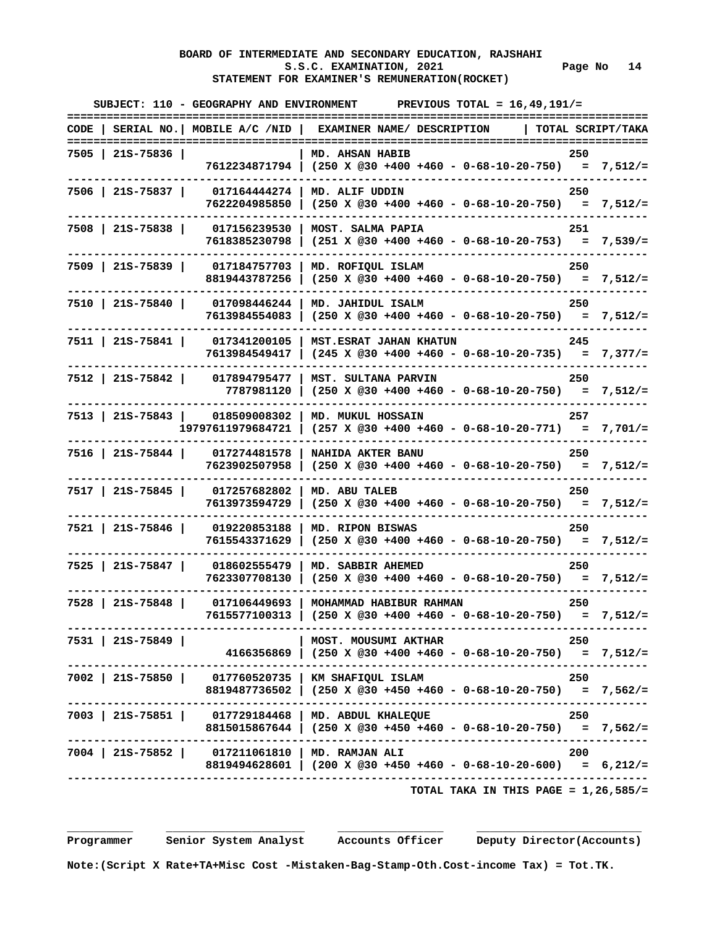# **BOARD OF INTERMEDIATE AND SECONDARY EDUCATION, RAJSHAHI**  S.S.C. EXAMINATION, 2021 Page No 14  **STATEMENT FOR EXAMINER'S REMUNERATION(ROCKET)**

| ===================== | SUBJECT: 110 - GEOGRAPHY AND ENVIRONMENT             | PREVIOUS TOTAL = $16, 49, 191/$ =                                                                                        |                   |
|-----------------------|------------------------------------------------------|--------------------------------------------------------------------------------------------------------------------------|-------------------|
|                       | $CODE$   SERIAL NO.   MOBILE A/C /NID                | EXAMINER NAME/ DESCRIPTION                                                                                               | TOTAL SCRIPT/TAKA |
| 7505   21S-75836      |                                                      | MD. AHSAN HABIB<br>7612234871794   (250 X @30 +400 +460 - 0-68-10-20-750) = 7,512/=                                      | 250               |
| 7506   21S-75837      | <b>017164444274</b><br>7622204985850                 | MD. ALIF UDDIN<br>$(250 \t X \t @30 +400 +460 - 0-68-10-20-750) = 7,512/=$                                               | 250               |
| 7508   215-75838      | 017156239530<br>7618385230798                        | MOST. SALMA PAPIA<br>$(251 \t X \t @30 +400 +460 - 0-68-10-20-753) = 7,539/=$                                            | 251               |
| 7509   21S-75839      | 017184757703<br>8819443787256                        | MD. ROFIQUL ISLAM<br>$(250 \t X \t @30 +400 +460 - 0-68-10-20-750) = 7,512/=$                                            | 250               |
| 7510   21S-75840      | 017098446244<br>7613984554083                        | MD. JAHIDUL ISALM<br>$(250 \t X \t 230 + 400 + 460 - 0 - 68 - 10 - 20 - 750) = 7,512/=$                                  | 250               |
| 7511 215-75841        | 017341200105<br>7613984549417                        | MST. ESRAT JAHAN KHATUN                                                                                                  | 245               |
| 7512   21S-75842      | 017894795477<br>7787981120                           | MST. SULTANA PARVIN<br>$(250 \t X \t 230 + 400 + 460 - 0 - 68 - 10 - 20 - 750) = 7,512/=$                                | 250               |
|                       | 7513   21S-75843   018509008302<br>19797611979684721 | MD. MUKUL HOSSAIN<br>$(257 \t X \t @30 +400 +460 - 0-68-10-20-771) = 7,701/=$                                            | 257               |
| 7516   21S-75844      | 017274481578<br>7623902507958                        | NAHIDA AKTER BANU<br>$(250 \t X \t @30 +400 +460 - 0-68-10-20-750) = 7,512/=$                                            | 250               |
| 7517   21S-75845      | 017257682802<br>7613973594729                        | MD. ABU TALEB<br>$(250 \times @30 +400 +460 - 0-68-10-20-750) = 7,512/=$                                                 | 250               |
| 7521   21S-75846      | 019220853188<br>7615543371629                        | MD. RIPON BISWAS<br>$(250 \t X \t 230 + 400 + 460 - 0 - 68 - 10 - 20 - 750) = 7,512/=$                                   | 250               |
| 7525   21S-75847      | 018602555479<br>7623307708130                        | MD. SABBIR AHEMED<br>$(250 \t X \t @30 +400 +460 - 0-68-10-20-750) = 7,512/=$                                            | 250               |
| 7528   21S-75848      | 017106449693<br>7615577100313                        | MOHAMMAD HABIBUR RAHMAN<br>$(250 \t X \t @30 +400 +460 - 0-68-10-20-750) = 7,512/=$                                      | 250               |
| 7531   21S-75849      |                                                      | MOST. MOUSUMI AKTHAR<br>$4166356869$ (250 X @30 +400 +460 - 0-68-10-20-750) = 7,512/=                                    | - 250             |
|                       |                                                      | 7002   21S-75850   017760520735   KM SHAFIQUL ISLAM<br>8819487736502   (250 X @30 +450 +460 - 0-68-10-20-750) = 7,562/=  | 250               |
|                       |                                                      | 7003   21S-75851   017729184468   MD. ABDUL KHALEQUE<br>$8815015867644$ (250 X @30 +450 +460 - 0-68-10-20-750) = 7,562/= | 250               |
|                       | 7004   21S-75852   017211061810   MD. RAMJAN ALI     | 8819494628601   (200 X @30 +450 +460 - 0-68-10-20-600) = 6,212/=                                                         | 200               |
|                       |                                                      | TOTAL TAKA IN THIS PAGE = $1,26,585/$ =                                                                                  |                   |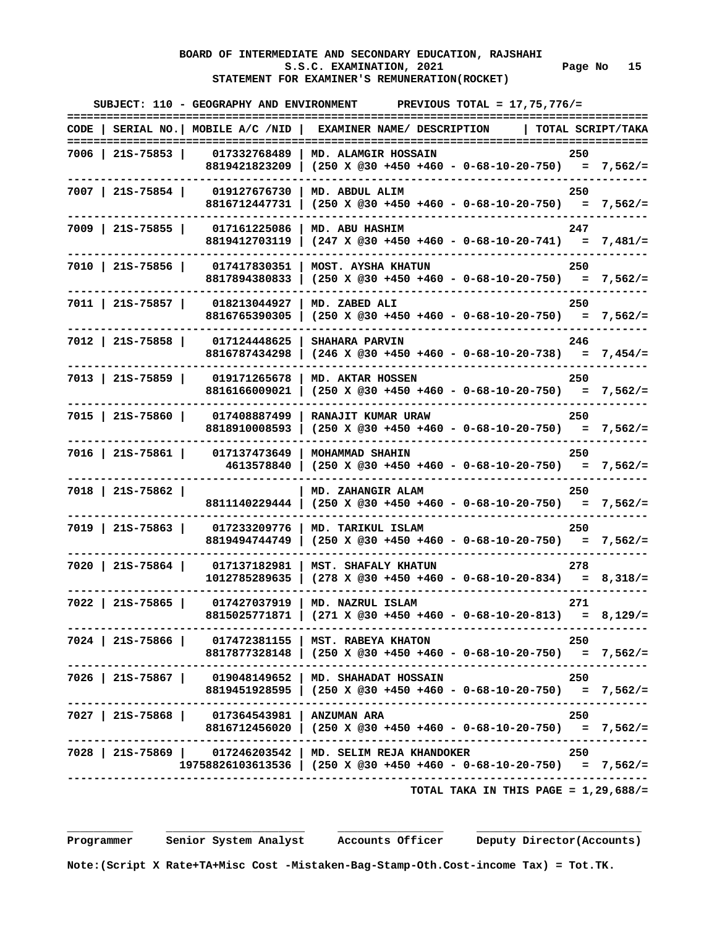# **BOARD OF INTERMEDIATE AND SECONDARY EDUCATION, RAJSHAHI**  S.S.C. EXAMINATION, 2021 Page No 15  **STATEMENT FOR EXAMINER'S REMUNERATION(ROCKET)**

|                    |                                               | SUBJECT: 110 - GEOGRAPHY AND ENVIRONMENT PREVIOUS TOTAL = $17.75.776/$ =                                                                                                   |
|--------------------|-----------------------------------------------|----------------------------------------------------------------------------------------------------------------------------------------------------------------------------|
|                    |                                               | CODE   SERIAL NO.   MOBILE A/C /NID   EXAMINER NAME/ DESCRIPTION<br>TOTAL SCRIPT/TAKA                                                                                      |
|                    |                                               | 7006   21S-75853   017332768489   MD. ALAMGIR HOSSAIN<br>250<br>8819421823209   (250 X @30 +450 +460 - 0-68-10-20-750) = 7,562/=                                           |
| 7007   21S-75854   | 8816712447731                                 | 019127676730   MD. ABDUL ALIM<br>250<br>  (250 X @30 +450 +460 - 0-68-10-20-750) = 7,562/=                                                                                 |
|                    | 7009   21S-75855   017161225086               | MD. ABU HASHIM<br>247<br>8819412703119   $(247 \times @30 +450 +460 - 0-68-10-20-741) = 7,481/z$                                                                           |
| 7010   21S-75856   | 017417830351<br>8817894380833                 | MOST. AYSHA KHATUN<br>250<br>$(250 \times @30 +450 +460 - 0-68-10-20-750) = 7,562/=$                                                                                       |
| 7011   21S-75857   | 018213044927<br>8816765390305                 | MD. ZABED ALI<br>250<br>$(250 \t X \t 230 + 450 + 460 - 0 - 68 - 10 - 20 - 750) = 7,562/=$                                                                                 |
| 7012   215-75858   | 017124448625 1<br>8816787434298               | <b>SHAHARA PARVIN</b><br>246                                                                                                                                               |
| 7013   21S-75859   | 019171265678<br>8816166009021                 | MD. AKTAR HOSSEN<br>250<br>$(250 \t X \t @30 +450 +460 - 0-68-10-20-750) = 7,562/=$                                                                                        |
| 7015   21S-75860   | 017408887499<br>8818910008593                 | RANAJIT KUMAR URAW<br>250<br>$(250 \t X \t 230 + 450 + 460 - 0 - 68 - 10 - 20 - 750) = 7,562/=$                                                                            |
| 7016   21S-75861   | 017137473649                                  | MOHAMMAD SHAHIN<br>250<br>$4613578840$ (250 X @30 +450 +460 - 0-68-10-20-750) = 7,562/=                                                                                    |
| 7018   21S-75862   |                                               | MD. ZAHANGIR ALAM<br>250<br>8811140229444   (250 X @30 +450 +460 - 0-68-10-20-750) = 7,562/=                                                                               |
| 7019   21S-75863   | 017233209776<br>8819494744749                 | MD. TARIKUL ISLAM<br>250<br>$(250 \times @30 +450 +460 - 0-68-10-20-750) = 7,562/=$                                                                                        |
|                    | 7020   215-75864   017137182981               | MST. SHAFALY KHATUN<br>278<br>$1012785289635$   $(278 \times @30 +450 +460 - 0-68-10-20-834) = 8,318/=$                                                                    |
| $7022$   215-75865 | 017427037919 1                                | MD. NAZRUL ISLAM<br>271<br>8815025771871   $(271 \times @30 +450 +460 - 0-68-10-20-813) = 8,129/=$<br>.---------------------------------                                   |
|                    |                                               | 7024   21S-75866   017472381155   MST. RABEYA KHATON<br>250<br>$8817877328148$   $(250 \t{X} @30 +450 +460 - 0-68-10-20-750) = 7,562/=$<br>------------------------------- |
|                    |                                               | 7026   21S-75867   019048149652   MD. SHAHADAT HOSSAIN<br>250<br>8819451928595   (250 X @30 +450 +460 - 0-68-10-20-750) = 7,562/=                                          |
|                    | 7027   21S-75868   017364543981   ANZUMAN ARA | 250<br>8816712456020   $(250 \tImes 930 + 450 + 460 - 0 - 68 - 10 - 20 - 750) = 7,562/z$                                                                                   |
|                    |                                               | 7028   21S-75869   017246203542   MD. SELIM REJA KHANDOKER<br>250<br>$19758826103613536$ (250 X @30 +450 +460 - 0-68-10-20-750) = 7,562/=                                  |
|                    |                                               | TOTAL TAKA IN THIS PAGE = $1,29,688/$ =                                                                                                                                    |

 **Programmer Senior System Analyst Accounts Officer Deputy Director(Accounts)** 

 **Note:(Script X Rate+TA+Misc Cost -Mistaken-Bag-Stamp-Oth.Cost-income Tax) = Tot.TK.**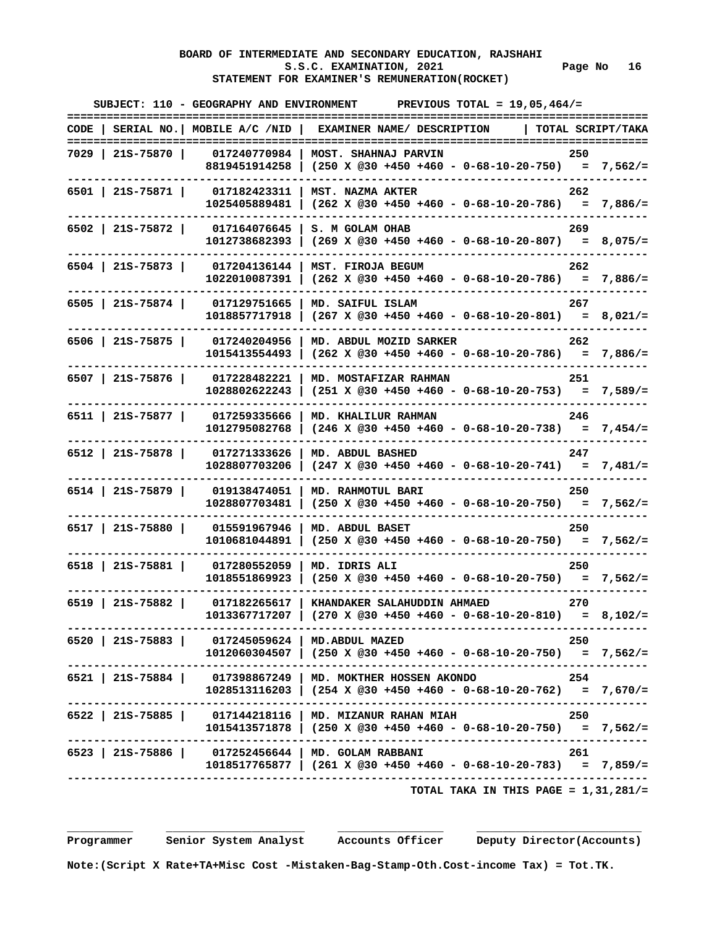# **BOARD OF INTERMEDIATE AND SECONDARY EDUCATION, RAJSHAHI**  S.S.C. EXAMINATION, 2021 **Page No** 16  **STATEMENT FOR EXAMINER'S REMUNERATION(ROCKET)**

|                    | SUBJECT: 110 - GEOGRAPHY AND ENVIRONMENT         | PREVIOUS TOTAL = $19,05,464/$ =                                                                               |                   |
|--------------------|--------------------------------------------------|---------------------------------------------------------------------------------------------------------------|-------------------|
|                    | $CODE$   SERIAL NO.   MOBILE A/C /NID            | EXAMINER NAME/ DESCRIPTION                                                                                    | TOTAL SCRIPT/TAKA |
| 7029   21S-75870   | 017240770984                                     | MOST. SHAHNAJ PARVIN                                                                                          | 250               |
|                    |                                                  | 8819451914258   (250 X @30 +450 +460 - 0-68-10-20-750) = 7,562/=                                              |                   |
| $6501$   21S-75871 | 017182423311                                     | MST. NAZMA AKTER                                                                                              | 262               |
|                    | 1025405889481                                    | $(262 \times @30 +450 +460 - 0-68-10-20-786) = 7,886/=$                                                       |                   |
| $6502$   215-75872 | 017164076645                                     | S. M GOLAM OHAB                                                                                               | 269               |
|                    | 1012738682393                                    |                                                                                                               |                   |
| 6504   21S-75873   | 017204136144                                     | MST. FIROJA BEGUM                                                                                             | 262               |
|                    | 1022010087391                                    | $(262 \times @30 +450 +460 - 0-68-10-20-786) = 7,886/=$                                                       |                   |
| $6505$   21S-75874 | 017129751665                                     | MD. SAIFUL ISLAM                                                                                              | 267               |
|                    | 1018857717918                                    | $(267 \times @30 +450 +460 - 0-68-10-20-801) = 8,021/=$                                                       |                   |
| $6506$   21S-75875 | 017240204956                                     | MD. ABDUL MOZID SARKER                                                                                        | 262               |
|                    | 1015413554493                                    | $(262 \t X \t 030 + 450 + 460 - 0 - 68 - 10 - 20 - 786) = 7,886/=$                                            |                   |
| $6507$   21S-75876 | 017228482221                                     | MD. MOSTAFIZAR RAHMAN                                                                                         | 251               |
|                    | 1028802622243                                    | $(251 \t X \t @30 +450 +460 - 0-68-10-20-753) = 7,589/=$                                                      |                   |
| 6511   21S-75877   | 017259335666                                     | MD. KHALILUR RAHMAN                                                                                           | 246               |
|                    | 1012795082768                                    | $(246 \times @30 +450 +460 - 0-68-10-20-738) = 7,454/=$                                                       |                   |
| 6512   215-75878   | 017271333626                                     | MD. ABDUL BASHED                                                                                              | 247               |
|                    | 1028807703206                                    | $(247 \times @30 +450 +460 - 0-68-10-20-741) = 7,481/=$                                                       |                   |
| $6514$   21S-75879 | 019138474051                                     | MD. RAHMOTUL BARI                                                                                             | 250               |
|                    | 1028807703481                                    | $(250 \t X \t @30 +450 +460 - 0-68-10-20-750) = 7,562/=$                                                      |                   |
| 6517   21S-75880   | 015591967946                                     | MD. ABDUL BASET                                                                                               | 250               |
|                    | 1010681044891                                    | $(250 \t X \t 230 + 450 + 460 - 0 - 68 - 10 - 20 - 750) = 7,562/=$                                            |                   |
| $6518$   21S-75881 | 017280552059                                     | MD. IDRIS ALI                                                                                                 | 250               |
|                    | 1018551869923                                    | $(250 \t X \t @30 +450 +460 - 0-68-10-20-750) = 7,562/=$                                                      |                   |
| $6519$   21S-75882 | 017182265617                                     | KHANDAKER SALAHUDDIN AHMAED                                                                                   | - 270             |
|                    | 1013367717207                                    | $(270 \times @30 +450 +460 - 0-68-10-20-810) = 8,102/=$                                                       |                   |
|                    | 6520   21S-75883   017245059624   MD.ABDUL MAZED |                                                                                                               | 250               |
|                    |                                                  | $1012060304507$ $(250 \t{X} @30 +450 +460 - 0-68-10-20-750) = 7,562/=$<br>----------------------------------- |                   |
|                    |                                                  | 6521   21S-75884   017398867249   MD. MOKTHER HOSSEN AKONDO                                                   | 254               |
|                    |                                                  | $1028513116203$   (254 X @30 +450 +460 - 0-68-10-20-762) = 7,670/=                                            |                   |
|                    |                                                  | 6522   21S-75885   017144218116   MD. MIZANUR RAHAN MIAH                                                      | 250               |
|                    |                                                  | 1015413571878   (250 X @30 +450 +460 - 0-68-10-20-750) = 7,562/=                                              |                   |
|                    |                                                  | 6523   21S-75886   017252456644   MD. GOLAM RABBANI                                                           | 261               |
|                    |                                                  | $1018517765877$   (261 X @30 +450 +460 - 0-68-10-20-783) = 7,859/=                                            |                   |
|                    |                                                  | TOTAL TAKA IN THIS PAGE = $1,31,281/$ =                                                                       |                   |

 **\_\_\_\_\_\_\_\_\_\_ \_\_\_\_\_\_\_\_\_\_\_\_\_\_\_\_\_\_\_\_\_ \_\_\_\_\_\_\_\_\_\_\_\_\_\_\_\_ \_\_\_\_\_\_\_\_\_\_\_\_\_\_\_\_\_\_\_\_\_\_\_\_\_** 

 **Programmer Senior System Analyst Accounts Officer Deputy Director(Accounts)** 

 **Note:(Script X Rate+TA+Misc Cost -Mistaken-Bag-Stamp-Oth.Cost-income Tax) = Tot.TK.**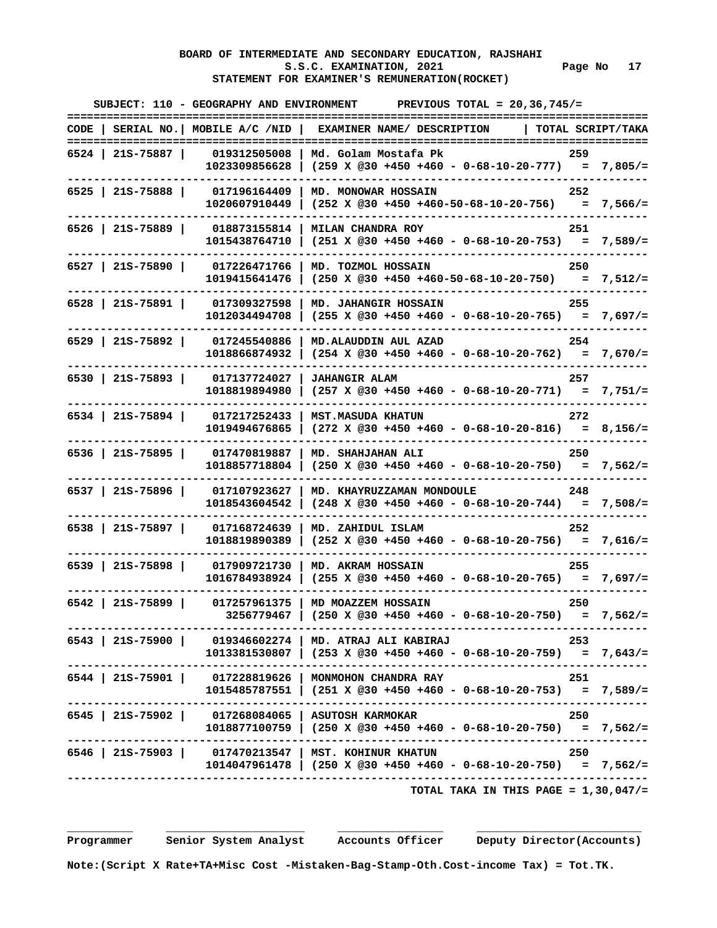# **BOARD OF INTERMEDIATE AND SECONDARY EDUCATION, RAJSHAHI**  S.S.C. EXAMINATION, 2021 **Page No** 17  **STATEMENT FOR EXAMINER'S REMUNERATION(ROCKET)**

|                    | SUBJECT: 110 - GEOGRAPHY AND ENVIRONMENT | PREVIOUS TOTAL = $20, 36, 745/$ =                                                                                                |                   |
|--------------------|------------------------------------------|----------------------------------------------------------------------------------------------------------------------------------|-------------------|
|                    | $CODE$   SERIAL NO.   MOBILE A/C /NID    | EXAMINER NAME/ DESCRIPTION                                                                                                       | TOTAL SCRIPT/TAKA |
| 6524   21S-75887   | 019312505008                             | Md. Golam Mostafa Pk                                                                                                             | 259               |
|                    | 1023309856628                            | $(259 \times @30 +450 +460 - 0-68-10-20-777) = 7,805/=$                                                                          |                   |
| $6525$   21S-75888 | 017196164409<br>1020607910449            | MD. MONOWAR HOSSAIN<br>$(252 \t X \t @30 +450 +460-50-68-10-20-756) = 7,566/=$                                                   | 252               |
| $6526$   21S-75889 | 018873155814<br>1015438764710            | MILAN CHANDRA ROY<br>$(251 \tX \t@30 +450 +460 - 0-68-10-20-753) = 7,589/=$                                                      | 251               |
| $6527$   21S-75890 | 017226471766<br>1019415641476            | MD. TOZMOL HOSSAIN<br>$(250 \t X \t @30 +450 +460-50-68-10-20-750) = 7,512/=$                                                    | 250               |
| $6528$   21S-75891 | 017309327598<br>1012034494708            | MD. JAHANGIR HOSSAIN<br>$(255 \t X \t 030 + 450 + 460 - 0 - 68 - 10 - 20 - 765) = 7,697/=$                                       | 255               |
| $6529$   21S-75892 | 017245540886<br>1018866874932            | MD. ALAUDDIN AUL AZAD                                                                                                            | 254               |
| 6530   21S-75893   | 017137724027<br>1018819894980            | <b>JAHANGIR ALAM</b><br>$(257 \t X \t @30 +450 +460 - 0-68-10-20-771) = 7,751/=$                                                 | 257               |
| $6534$   21S-75894 | 017217252433<br>1019494676865            | <b>MST.MASUDA KHATUN</b><br>$(272 \times @30 +450 +460 - 0-68-10-20-816) = 8,156/=$                                              | 272               |
| $6536$   21S-75895 | 017470819887<br>1018857718804            | MD. SHAHJAHAN ALI<br>$(250 \t X \t 230 + 450 + 460 - 0 - 68 - 10 - 20 - 750) = 7,562/=$                                          | 250               |
| $6537$   21S-75896 | 017107923627<br>1018543604542            | MD. KHAYRUZZAMAN MONDOULE<br>$(248 \times @30 +450 +460 - 0-68-10-20-744) = 7,508/=$                                             | 248               |
| 6538   215-75897   | 017168724639<br>1018819890389            | MD. ZAHIDUL ISLAM<br>$(252 \t X \t 230 + 450 + 460 - 0 - 68 - 10 - 20 - 756) = 7,616/=$                                          | 252               |
| $6539$   21S-75898 | 017909721730<br>1016784938924            | MD. AKRAM HOSSAIN<br>$(255 \times @30 +450 +460 - 0-68-10-20-765) = 7,697/=$                                                     | 255               |
| $6542$   21S-75899 | 017257961375<br>3256779467               | MD MOAZZEM HOSSAIN<br>$(250 \t X \t @30 +450 +460 - 0-68-10-20-750) = 7,562/=$                                                   | 250               |
|                    |                                          | 6543   21S-75900   019346602274   MD. ATRAJ ALI KABIRAJ<br>$1013381530807$   (253 X @30 +450 +460 - 0-68-10-20-759) = 7,643/=    | - 253             |
|                    |                                          | 6544   215-75901   017228819626   MONMOHON CHANDRA RAY<br>$1015485787551$ $(251 \t{X} @30 +450 +460 - 0-68-10-20-753) = 7,589/=$ | 251               |
|                    |                                          | 6545   21S-75902   017268084065   ASUTOSH KARMOKAR<br>1018877100759   (250 X @30 +450 +460 - 0-68-10-20-750) = 7,562/=           | 250               |
|                    |                                          | 6546   21S-75903   017470213547   MST. KOHINUR KHATUN<br>$1014047961478$   (250 X @30 +450 +460 - 0-68-10-20-750) = 7,562/=      | 250               |
|                    |                                          | TOTAL TAKA IN THIS PAGE = $1,30,047/$ =                                                                                          |                   |

 **\_\_\_\_\_\_\_\_\_\_ \_\_\_\_\_\_\_\_\_\_\_\_\_\_\_\_\_\_\_\_\_ \_\_\_\_\_\_\_\_\_\_\_\_\_\_\_\_ \_\_\_\_\_\_\_\_\_\_\_\_\_\_\_\_\_\_\_\_\_\_\_\_\_**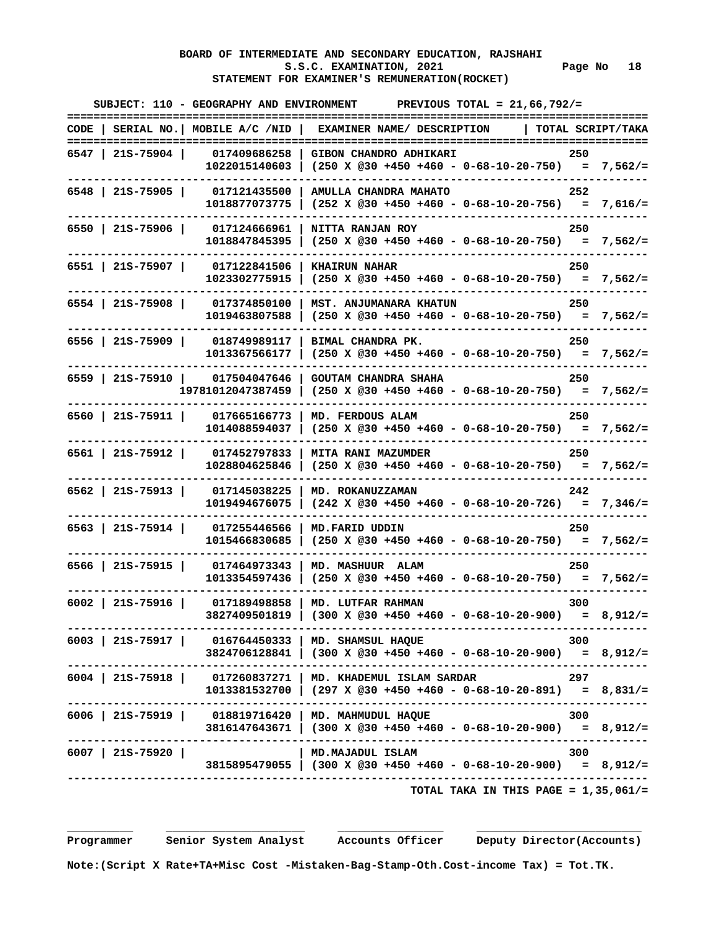# **BOARD OF INTERMEDIATE AND SECONDARY EDUCATION, RAJSHAHI**  S.S.C. EXAMINATION, 2021 Page No 18  **STATEMENT FOR EXAMINER'S REMUNERATION(ROCKET)**

|                    | SUBJECT: 110 - GEOGRAPHY AND ENVIRONMENT             | PREVIOUS TOTAL = $21,66,792/$ =                                                                                                                                            |                   |
|--------------------|------------------------------------------------------|----------------------------------------------------------------------------------------------------------------------------------------------------------------------------|-------------------|
|                    |                                                      | CODE   SERIAL NO.   MOBILE A/C /NID   EXAMINER NAME/ DESCRIPTION                                                                                                           | TOTAL SCRIPT/TAKA |
| 6547   21S-75904   |                                                      | 017409686258   GIBON CHANDRO ADHIKARI<br>$1022015140603$ (250 X @30 +450 +460 - 0-68-10-20-750) = 7,562/=                                                                  | 250               |
| $6548$   215-75905 | 017121435500<br>1018877073775                        | AMULLA CHANDRA MAHATO<br>$(252 \t X \t 230 + 450 + 460 - 0 - 68 - 10 - 20 - 756) = 7,616/=$                                                                                | 252               |
| $6550$   21S-75906 | 017124666961 l<br>1018847845395                      | NITTA RANJAN ROY<br>$(250 \t X \t @30 +450 +460 - 0-68-10-20-750) = 7,562/=$                                                                                               | 250               |
| $6551$   21S-75907 | 017122841506<br>1023302775915                        | <b>KHAIRUN NAHAR</b><br>$(250 \t X \t 230 + 450 + 460 - 0 - 68 - 10 - 20 - 750) = 7,562/=$                                                                                 | 250               |
| 6554   21S-75908   | 017374850100<br>1019463807588                        | MST. ANJUMANARA KHATUN<br>$(250 \t X \t 230 + 450 + 460 - 0 - 68 - 10 - 20 - 750) = 7,562/=$                                                                               | 250               |
| $6556$   21S-75909 | 018749989117  <br>1013367566177                      | BIMAL CHANDRA PK.<br>$(250 \t X \t 230 + 450 + 460 - 0 - 68 - 10 - 20 - 750) = 7,562/=$                                                                                    | 250               |
|                    | 6559   21S-75910   017504047646<br>19781012047387459 | <b>GOUTAM CHANDRA SHAHA</b><br>$(250 \t X \t 230 + 450 + 460 - 0 - 68 - 10 - 20 - 750) = 7,562/=$                                                                          | 250               |
| 6560   21S-75911   | 017665166773<br>1014088594037                        | MD. FERDOUS ALAM<br>$(250 \t X \t 230 + 450 + 460 - 0 - 68 - 10 - 20 - 750) = 7,562/=$                                                                                     | 250               |
| $6561$   21S-75912 | 017452797833<br>1028804625846                        | <b>MITA RANI MAZUMDER</b><br>$(250 \times @30 +450 +460 - 0-68-10-20-750) = 7,562/=$                                                                                       | 250               |
| $6562$   21S-75913 | 017145038225<br>1019494676075                        | MD. ROKANUZZAMAN<br>$(242 \times @30 +450 +460 - 0-68-10-20-726) = 7,346/=$                                                                                                | 242               |
| 6563   215-75914   | 017255446566<br>1015466830685                        | MD.FARID UDDIN<br>$(250 \times @30 +450 +460 - 0-68-10-20-750) = 7,562/=$                                                                                                  | 250               |
| $6566$   21S-75915 | 017464973343 1<br>1013354597436                      | MD. MASHUUR ALAM<br>$(250 \t X \t @30 +450 +460 - 0-68-10-20-750) = 7,562/=$                                                                                               | 250               |
| $6002$   21S-75916 | 017189498858                                         | MD. LUTFAR RAHMAN<br>$3827409501819$ (300 X @30 +450 +460 - 0-68-10-20-900) = 8,912/=<br>.--------------------------------                                                 | 300               |
|                    |                                                      | $6003$   21S-75917   016764450333   MD. SHAMSUL HAQUE<br>$3824706128841$ (300 X @30 +450 +460 - 0-68-10-20-900) = 8,912/=                                                  | 300               |
|                    |                                                      | $6004$   21S-75918   017260837271   MD. KHADEMUL ISLAM SARDAR<br>$1013381532700$ $(297 \t{X} @30 +450 +460 - 0-68-10-20-891) = 8,831/z$<br>------------------------------- | 297               |
|                    |                                                      | 6006   21S-75919   018819716420   MD. MAHMUDUL HAQUE<br>$3816147643671$   (300 X @30 +450 +460 - 0-68-10-20-900) = 8,912/=                                                 | 300               |
| $6007$   21S-75920 |                                                      | MD.MAJADUL ISLAM<br>$3815895479055$ (300 X @30 +450 +460 - 0-68-10-20-900) = 8,912/=                                                                                       | 300               |
|                    |                                                      | TOTAL TAKA IN THIS PAGE = $1,35,061/$ =                                                                                                                                    |                   |